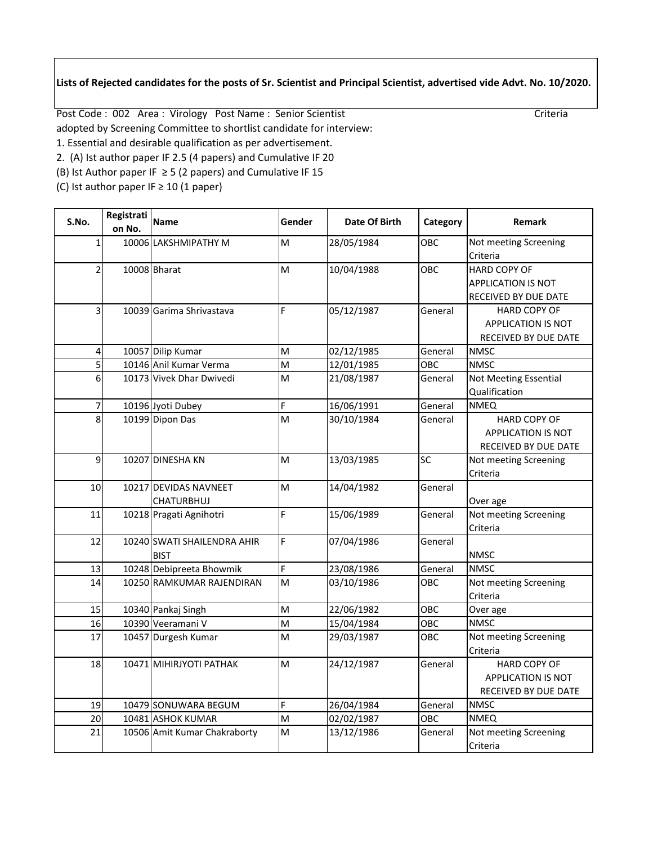## **Lists of Rejected candidates for the posts of Sr. Scientist and Principal Scientist, advertised vide Advt. No. 10/2020.**

Post Code : 002 Area : Virology Post Name : Senior Scientist Criteria Criteria

- adopted by Screening Committee to shortlist candidate for interview:
- 1. Essential and desirable qualification as per advertisement.
- 2. (A) Ist author paper IF 2.5 (4 papers) and Cumulative IF 20
- (B) Ist Author paper IF  $\geq$  5 (2 papers) and Cumulative IF 15
- (C) Ist author paper IF  $\geq 10$  (1 paper)

| S.No.          | Registrati<br>on No. | Name                                       | Gender | Date Of Birth | Category | Remark                       |
|----------------|----------------------|--------------------------------------------|--------|---------------|----------|------------------------------|
| 1              |                      | 10006 LAKSHMIPATHY M                       | M      | 28/05/1984    | ОВС      | Not meeting Screening        |
|                |                      |                                            |        |               |          | Criteria                     |
| $\overline{2}$ |                      | 10008 Bharat                               | M      | 10/04/1988    | OBC      | <b>HARD COPY OF</b>          |
|                |                      |                                            |        |               |          | <b>APPLICATION IS NOT</b>    |
|                |                      |                                            |        |               |          | RECEIVED BY DUE DATE         |
| 31             |                      | 10039 Garima Shrivastava                   | F      | 05/12/1987    | General  | <b>HARD COPY OF</b>          |
|                |                      |                                            |        |               |          | <b>APPLICATION IS NOT</b>    |
|                |                      |                                            |        |               |          | RECEIVED BY DUE DATE         |
| 4              |                      | 10057 Dilip Kumar                          | M      | 02/12/1985    | General  | <b>NMSC</b>                  |
| $\overline{5}$ |                      | 10146 Anil Kumar Verma                     | M      | 12/01/1985    | OBC      | <b>NMSC</b>                  |
| 6              |                      | 10173 Vivek Dhar Dwivedi                   | M      | 21/08/1987    | General  | <b>Not Meeting Essential</b> |
|                |                      |                                            |        |               |          | Qualification                |
| $\overline{7}$ |                      | 10196 Jyoti Dubey                          | F.     | 16/06/1991    | General  | <b>NMEQ</b>                  |
| 8              |                      | 10199 Dipon Das                            | M      | 30/10/1984    | General  | <b>HARD COPY OF</b>          |
|                |                      |                                            |        |               |          | <b>APPLICATION IS NOT</b>    |
|                |                      |                                            |        |               |          | <b>RECEIVED BY DUE DATE</b>  |
| 9              |                      | 10207 DINESHA KN                           | M      | 13/03/1985    | SC       | Not meeting Screening        |
|                |                      |                                            |        |               |          | Criteria                     |
| 10             |                      | 10217 DEVIDAS NAVNEET                      | M      | 14/04/1982    | General  |                              |
|                |                      | CHATURBHUJ                                 |        |               |          | Over age                     |
| 11             |                      | 10218 Pragati Agnihotri                    | F.     | 15/06/1989    | General  | Not meeting Screening        |
|                |                      |                                            | F      |               |          | Criteria                     |
| 12             |                      | 10240 SWATI SHAILENDRA AHIR<br><b>BIST</b> |        | 07/04/1986    | General  |                              |
| 13             |                      | 10248 Debipreeta Bhowmik                   | F      | 23/08/1986    | General  | <b>NMSC</b><br><b>NMSC</b>   |
| 14             |                      | 10250 RAMKUMAR RAJENDIRAN                  | M      | 03/10/1986    | OBC      | Not meeting Screening        |
|                |                      |                                            |        |               |          | Criteria                     |
| 15             |                      | 10340 Pankaj Singh                         | M      | 22/06/1982    | OBC      | Over age                     |
| 16             |                      | 10390 Veeramani V                          | M      | 15/04/1984    | OBC      | <b>NMSC</b>                  |
| 17             |                      | 10457 Durgesh Kumar                        | M      | 29/03/1987    | OBC      | Not meeting Screening        |
|                |                      |                                            |        |               |          | Criteria                     |
| 18             |                      | 10471 MIHIRJYOTI PATHAK                    | M      | 24/12/1987    | General  | <b>HARD COPY OF</b>          |
|                |                      |                                            |        |               |          | APPLICATION IS NOT           |
|                |                      |                                            |        |               |          | RECEIVED BY DUE DATE         |
| 19             |                      | 10479 SONUWARA BEGUM                       | F      | 26/04/1984    | General  | <b>NMSC</b>                  |
| 20             |                      | 10481 ASHOK KUMAR                          | M      | 02/02/1987    | OBC      | <b>NMEQ</b>                  |
| 21             |                      | 10506 Amit Kumar Chakraborty               | M      | 13/12/1986    | General  | Not meeting Screening        |
|                |                      |                                            |        |               |          | Criteria                     |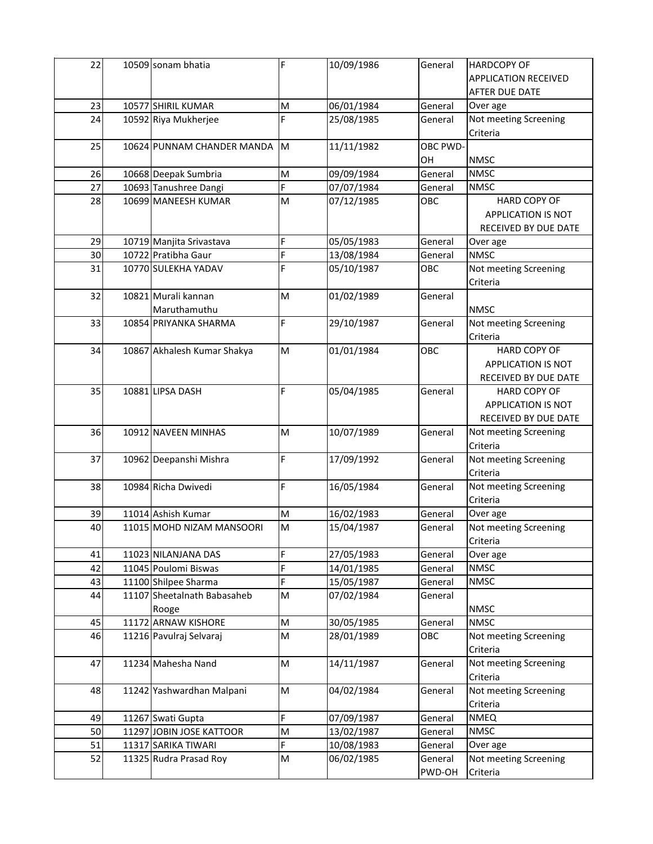| 22 | 10509 sonam bhatia          | F | 10/09/1986 | General  | <b>HARDCOPY OF</b>          |
|----|-----------------------------|---|------------|----------|-----------------------------|
|    |                             |   |            |          | <b>APPLICATION RECEIVED</b> |
|    |                             |   |            |          | AFTER DUE DATE              |
| 23 | 10577 SHIRIL KUMAR          | M | 06/01/1984 | General  | Over age                    |
| 24 | 10592 Riya Mukherjee        | F | 25/08/1985 | General  | Not meeting Screening       |
|    |                             |   |            |          | Criteria                    |
| 25 | 10624 PUNNAM CHANDER MANDA  | M | 11/11/1982 | OBC PWD- |                             |
|    |                             |   |            | OH       | <b>NMSC</b>                 |
| 26 | 10668 Deepak Sumbria        | M | 09/09/1984 | General  | <b>NMSC</b>                 |
| 27 | 10693 Tanushree Dangi       | F | 07/07/1984 | General  | <b>NMSC</b>                 |
| 28 | 10699 MANEESH KUMAR         | M | 07/12/1985 | OBC      | <b>HARD COPY OF</b>         |
|    |                             |   |            |          | <b>APPLICATION IS NOT</b>   |
|    |                             |   |            |          | RECEIVED BY DUE DATE        |
| 29 | 10719 Manjita Srivastava    | F | 05/05/1983 | General  | Over age                    |
| 30 | 10722 Pratibha Gaur         | F | 13/08/1984 | General  | <b>NMSC</b>                 |
| 31 | 10770 SULEKHA YADAV         | F | 05/10/1987 | OBC      | Not meeting Screening       |
|    |                             |   |            |          | Criteria                    |
| 32 | 10821 Murali kannan         | M | 01/02/1989 | General  |                             |
|    | Maruthamuthu                |   |            |          | <b>NMSC</b>                 |
| 33 | 10854 PRIYANKA SHARMA       | F | 29/10/1987 | General  | Not meeting Screening       |
|    |                             |   |            |          | Criteria                    |
| 34 | 10867 Akhalesh Kumar Shakya | M | 01/01/1984 | OBC      | <b>HARD COPY OF</b>         |
|    |                             |   |            |          | <b>APPLICATION IS NOT</b>   |
|    |                             |   |            |          | RECEIVED BY DUE DATE        |
| 35 | 10881 LIPSA DASH            | F | 05/04/1985 | General  | <b>HARD COPY OF</b>         |
|    |                             |   |            |          | <b>APPLICATION IS NOT</b>   |
|    |                             |   |            |          | RECEIVED BY DUE DATE        |
| 36 | 10912 NAVEEN MINHAS         | M | 10/07/1989 | General  | Not meeting Screening       |
|    |                             |   |            |          | Criteria                    |
| 37 | 10962 Deepanshi Mishra      | F | 17/09/1992 | General  | Not meeting Screening       |
|    |                             |   |            |          | Criteria                    |
| 38 | 10984 Richa Dwivedi         | F | 16/05/1984 | General  | Not meeting Screening       |
|    |                             |   |            |          | Criteria                    |
| 39 | 11014 Ashish Kumar          | M | 16/02/1983 | General  | Over age                    |
| 40 | 11015 MOHD NIZAM MANSOORI   | M | 15/04/1987 | General  | Not meeting Screening       |
|    |                             |   |            |          | Criteria                    |
| 41 | 11023 NILANJANA DAS         | F | 27/05/1983 | General  | Over age                    |
| 42 | 11045 Poulomi Biswas        | F | 14/01/1985 | General  | <b>NMSC</b>                 |
| 43 | 11100 Shilpee Sharma        | F | 15/05/1987 | General  | <b>NMSC</b>                 |
| 44 | 11107 Sheetalnath Babasaheb | M | 07/02/1984 | General  |                             |
|    | Rooge                       |   |            |          | <b>NMSC</b>                 |
| 45 | 11172 ARNAW KISHORE         | M | 30/05/1985 | General  | <b>NMSC</b>                 |
| 46 | 11216 Pavulraj Selvaraj     | M | 28/01/1989 | OBC      | Not meeting Screening       |
|    |                             |   |            |          | Criteria                    |
| 47 | 11234 Mahesha Nand          | M | 14/11/1987 | General  | Not meeting Screening       |
|    |                             |   |            |          | Criteria                    |
| 48 | 11242 Yashwardhan Malpani   | M | 04/02/1984 | General  | Not meeting Screening       |
|    |                             |   |            |          | Criteria                    |
| 49 | 11267 Swati Gupta           | F | 07/09/1987 | General  | <b>NMEQ</b>                 |
| 50 | 11297 JOBIN JOSE KATTOOR    | M | 13/02/1987 | General  | <b>NMSC</b>                 |
| 51 | 11317 SARIKA TIWARI         | F | 10/08/1983 | General  | Over age                    |
| 52 | 11325 Rudra Prasad Roy      | M | 06/02/1985 | General  | Not meeting Screening       |
|    |                             |   |            | PWD-OH   | Criteria                    |
|    |                             |   |            |          |                             |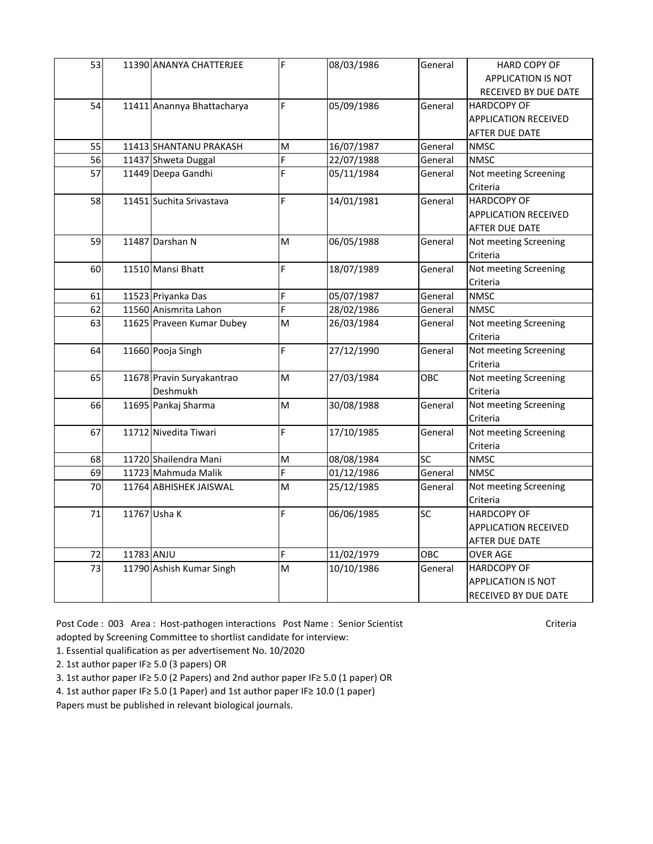| 53 |            | 11390 ANANYA CHATTERJEE    | F              | 08/03/1986 | General   | <b>HARD COPY OF</b>         |
|----|------------|----------------------------|----------------|------------|-----------|-----------------------------|
|    |            |                            |                |            |           | <b>APPLICATION IS NOT</b>   |
|    |            |                            |                |            |           | RECEIVED BY DUE DATE        |
| 54 |            | 11411 Anannya Bhattacharya | F              | 05/09/1986 | General   | <b>HARDCOPY OF</b>          |
|    |            |                            |                |            |           | <b>APPLICATION RECEIVED</b> |
|    |            |                            |                |            |           | AFTER DUE DATE              |
| 55 |            | 11413 SHANTANU PRAKASH     | M              | 16/07/1987 | General   | <b>NMSC</b>                 |
| 56 |            | 11437 Shweta Duggal        | F              | 22/07/1988 | General   | <b>NMSC</b>                 |
| 57 |            | 11449 Deepa Gandhi         | F              | 05/11/1984 | General   | Not meeting Screening       |
|    |            |                            |                |            |           | Criteria                    |
| 58 |            | 11451 Suchita Srivastava   | F              | 14/01/1981 | General   | <b>HARDCOPY OF</b>          |
|    |            |                            |                |            |           | <b>APPLICATION RECEIVED</b> |
|    |            |                            |                |            |           | AFTER DUE DATE              |
| 59 |            | 11487 Darshan N            | M              | 06/05/1988 | General   | Not meeting Screening       |
|    |            |                            |                |            |           | Criteria                    |
| 60 |            | 11510 Mansi Bhatt          | F              | 18/07/1989 | General   | Not meeting Screening       |
|    |            |                            |                |            |           | Criteria                    |
| 61 |            | 11523 Priyanka Das         | F              | 05/07/1987 | General   | <b>NMSC</b>                 |
| 62 |            | 11560 Anismrita Lahon      | $\overline{F}$ | 28/02/1986 | General   | <b>NMSC</b>                 |
| 63 |            | 11625 Praveen Kumar Dubey  | M              | 26/03/1984 | General   | Not meeting Screening       |
|    |            |                            |                |            |           | Criteria                    |
| 64 |            | 11660 Pooja Singh          | F              | 27/12/1990 | General   | Not meeting Screening       |
|    |            |                            |                |            |           | Criteria                    |
| 65 |            | 11678 Pravin Suryakantrao  | M              | 27/03/1984 | OBC       | Not meeting Screening       |
|    |            | Deshmukh                   |                |            |           | Criteria                    |
| 66 |            | 11695 Pankaj Sharma        | M              | 30/08/1988 | General   | Not meeting Screening       |
|    |            |                            |                |            |           | Criteria                    |
| 67 |            | 11712 Nivedita Tiwari      | F              | 17/10/1985 | General   | Not meeting Screening       |
|    |            |                            |                |            |           | Criteria                    |
| 68 |            | 11720 Shailendra Mani      | M              | 08/08/1984 | <b>SC</b> | <b>NMSC</b>                 |
| 69 |            | 11723 Mahmuda Malik        | F              | 01/12/1986 | General   | <b>NMSC</b>                 |
| 70 |            | 11764 ABHISHEK JAISWAL     | M              | 25/12/1985 | General   | Not meeting Screening       |
|    |            |                            |                |            |           | Criteria                    |
| 71 |            | 11767 Usha K               | F              | 06/06/1985 | <b>SC</b> | <b>HARDCOPY OF</b>          |
|    |            |                            |                |            |           | <b>APPLICATION RECEIVED</b> |
|    |            |                            |                |            |           | AFTER DUE DATE              |
| 72 | 11783 ANJU |                            | F              | 11/02/1979 | OBC       | <b>OVER AGE</b>             |
| 73 |            | 11790 Ashish Kumar Singh   | M              | 10/10/1986 | General   | <b>HARDCOPY OF</b>          |
|    |            |                            |                |            |           | <b>APPLICATION IS NOT</b>   |
|    |            |                            |                |            |           | RECEIVED BY DUE DATE        |

Post Code : 003 Area : Host-pathogen interactions Post Name : Senior Scientist Criteria adopted by Screening Committee to shortlist candidate for interview:

1. Essential qualification as per advertisement No. 10/2020

2. 1st author paper IF≥ 5.0 (3 papers) OR

3. 1st author paper IF≥ 5.0 (2 Papers) and 2nd author paper IF≥ 5.0 (1 paper) OR

4. 1st author paper IF≥ 5.0 (1 Paper) and 1st author paper IF≥ 10.0 (1 paper)

Papers must be published in relevant biological journals.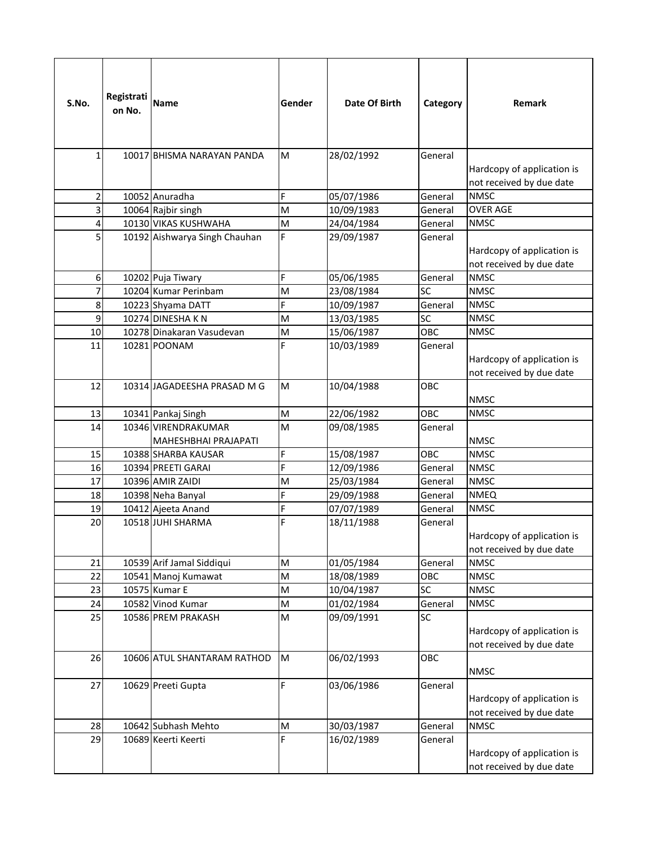| S.No.          | Registrati<br>on No. | <b>Name</b>                                 | Gender                                                                                | Date Of Birth | Category        | Remark                                                 |
|----------------|----------------------|---------------------------------------------|---------------------------------------------------------------------------------------|---------------|-----------------|--------------------------------------------------------|
| $\mathbf{1}$   |                      | 10017 BHISMA NARAYAN PANDA                  | M                                                                                     | 28/02/1992    | General         | Hardcopy of application is<br>not received by due date |
| $\overline{2}$ |                      | 10052 Anuradha                              | F                                                                                     | 05/07/1986    | General         | <b>NMSC</b>                                            |
| 3              |                      | 10064 Rajbir singh                          | M                                                                                     | 10/09/1983    | General         | <b>OVER AGE</b>                                        |
| 4              |                      | 10130 VIKAS KUSHWAHA                        | M                                                                                     | 24/04/1984    | General         | <b>NMSC</b>                                            |
| $\overline{5}$ |                      | 10192 Aishwarya Singh Chauhan               | F                                                                                     | 29/09/1987    | General         | Hardcopy of application is<br>not received by due date |
| 6              |                      | 10202 Puja Tiwary                           | F                                                                                     | 05/06/1985    | General         | <b>NMSC</b>                                            |
| $\overline{7}$ |                      | 10204 Kumar Perinbam                        | M                                                                                     | 23/08/1984    | <b>SC</b>       | <b>NMSC</b>                                            |
| 8              |                      | 10223 Shyama DATT                           | F                                                                                     | 10/09/1987    | General         | <b>NMSC</b>                                            |
| 9              |                      | 10274 DINESHAKN                             | M                                                                                     | 13/03/1985    | SC              | <b>NMSC</b>                                            |
| 10             |                      | 10278 Dinakaran Vasudevan                   | M                                                                                     | 15/06/1987    | OBC             | <b>NMSC</b>                                            |
| 11             |                      | 10281 POONAM                                | F                                                                                     | 10/03/1989    | General         | Hardcopy of application is<br>not received by due date |
| 12             |                      | 10314 JAGADEESHA PRASAD M G                 | M                                                                                     | 10/04/1988    | OBC             | <b>NMSC</b>                                            |
| 13             |                      | 10341 Pankaj Singh                          | M                                                                                     | 22/06/1982    | OBC             | <b>NMSC</b>                                            |
| 14             |                      | 10346 VIRENDRAKUMAR<br>MAHESHBHAI PRAJAPATI | M                                                                                     | 09/08/1985    | General         | <b>NMSC</b>                                            |
| 15             |                      | 10388 SHARBA KAUSAR                         | F                                                                                     | 15/08/1987    | OBC             | <b>NMSC</b>                                            |
| 16             |                      | 10394 PREETI GARAI                          | F                                                                                     | 12/09/1986    | General         | <b>NMSC</b>                                            |
| 17             |                      | 10396 AMIR ZAIDI                            | M                                                                                     | 25/03/1984    | General         | <b>NMSC</b>                                            |
| 18             |                      | 10398 Neha Banyal                           | F                                                                                     | 29/09/1988    | General         | <b>NMEQ</b>                                            |
| 19             |                      | 10412 Ajeeta Anand                          | F                                                                                     | 07/07/1989    | General         | <b>NMSC</b>                                            |
| 20             |                      | 10518 JUHI SHARMA                           | F                                                                                     | 18/11/1988    | General         | Hardcopy of application is<br>not received by due date |
| 21             |                      | 10539 Arif Jamal Siddiqui                   | M                                                                                     | 01/05/1984    | General         | <b>NMSC</b>                                            |
| 22             |                      | 10541 Manoj Kumawat                         | M                                                                                     | 18/08/1989    | OBC             | <b>NMSC</b>                                            |
| 23             |                      | 10575 Kumar E                               | M                                                                                     | 10/04/1987    | $\overline{SC}$ | <b>NMSC</b>                                            |
| 24             |                      | 10582 Vinod Kumar                           | M                                                                                     | 01/02/1984    | General         | <b>NMSC</b>                                            |
| 25             |                      | 10586 PREM PRAKASH                          | $\mathsf{M}% _{T}=\mathsf{M}_{T}\!\left( a,b\right) ,\ \mathsf{M}_{T}=\mathsf{M}_{T}$ | 09/09/1991    | SC              | Hardcopy of application is<br>not received by due date |
| 26             |                      | 10606 ATUL SHANTARAM RATHOD                 | M                                                                                     | 06/02/1993    | OBC             | <b>NMSC</b>                                            |
| 27             |                      | 10629 Preeti Gupta                          | F                                                                                     | 03/06/1986    | General         | Hardcopy of application is<br>not received by due date |
| 28             |                      | 10642 Subhash Mehto                         | ${\sf M}$                                                                             | 30/03/1987    | General         | <b>NMSC</b>                                            |
| 29             |                      | 10689 Keerti Keerti                         | F                                                                                     | 16/02/1989    | General         | Hardcopy of application is<br>not received by due date |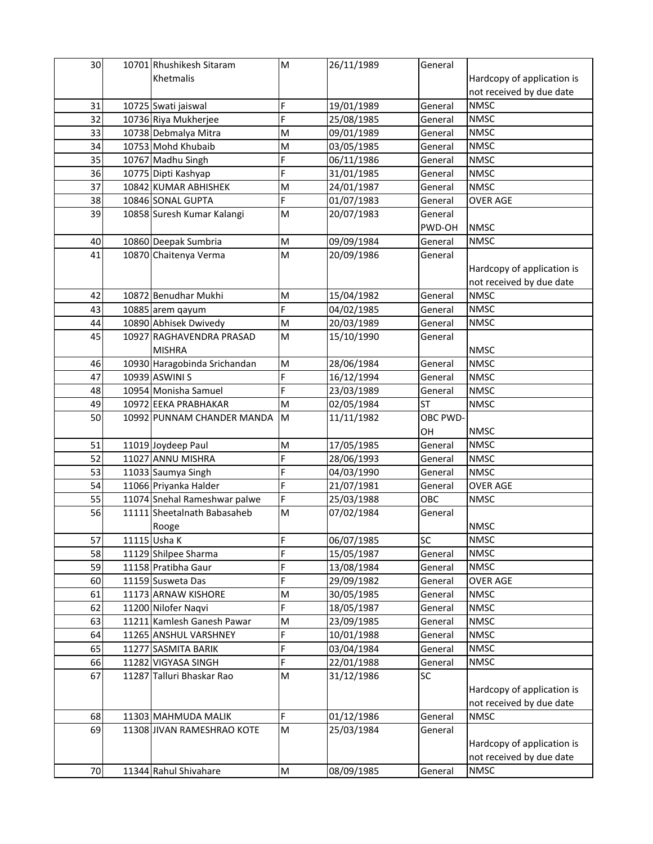| 30 | 10701 Rhushikesh Sitaram     | M  | 26/11/1989 | General   |                            |
|----|------------------------------|----|------------|-----------|----------------------------|
|    | Khetmalis                    |    |            |           | Hardcopy of application is |
|    |                              |    |            |           | not received by due date   |
| 31 | 10725 Swati jaiswal          | F  | 19/01/1989 | General   | <b>NMSC</b>                |
| 32 | 10736 Riya Mukherjee         | F  | 25/08/1985 | General   | <b>NMSC</b>                |
| 33 | 10738 Debmalya Mitra         | M  | 09/01/1989 | General   | <b>NMSC</b>                |
| 34 | 10753 Mohd Khubaib           | M  | 03/05/1985 | General   | <b>NMSC</b>                |
| 35 | 10767 Madhu Singh            | F  | 06/11/1986 | General   | <b>NMSC</b>                |
| 36 | 10775 Dipti Kashyap          | F  | 31/01/1985 | General   | <b>NMSC</b>                |
| 37 | 10842 KUMAR ABHISHEK         | M  | 24/01/1987 | General   | <b>NMSC</b>                |
| 38 | 10846 SONAL GUPTA            | F  | 01/07/1983 | General   | <b>OVER AGE</b>            |
| 39 | 10858 Suresh Kumar Kalangi   | M  | 20/07/1983 | General   |                            |
|    |                              |    |            | PWD-OH    | <b>NMSC</b>                |
| 40 | 10860 Deepak Sumbria         | M  | 09/09/1984 | General   | <b>NMSC</b>                |
| 41 | 10870 Chaitenya Verma        | M  | 20/09/1986 | General   |                            |
|    |                              |    |            |           | Hardcopy of application is |
|    |                              |    |            |           | not received by due date   |
| 42 | 10872 Benudhar Mukhi         | M  | 15/04/1982 | General   | <b>NMSC</b>                |
| 43 | 10885 arem qayum             | F. | 04/02/1985 | General   | <b>NMSC</b>                |
| 44 | 10890 Abhisek Dwivedy        | M  | 20/03/1989 | General   | <b>NMSC</b>                |
| 45 | 10927 RAGHAVENDRA PRASAD     | M  | 15/10/1990 | General   |                            |
|    | <b>MISHRA</b>                |    |            |           | <b>NMSC</b>                |
| 46 | 10930 Haragobinda Srichandan | M  | 28/06/1984 | General   | <b>NMSC</b>                |
| 47 | 10939 ASWINI S               | F  | 16/12/1994 | General   | <b>NMSC</b>                |
| 48 | 10954 Monisha Samuel         | F  | 23/03/1989 | General   | <b>NMSC</b>                |
| 49 | 10972 EEKA PRABHAKAR         | M  | 02/05/1984 | <b>ST</b> | <b>NMSC</b>                |
| 50 | 10992 PUNNAM CHANDER MANDA   | M  | 11/11/1982 | OBC PWD-  |                            |
|    |                              |    |            | OH        | <b>NMSC</b>                |
| 51 | 11019 Joydeep Paul           | M  | 17/05/1985 | General   | <b>NMSC</b>                |
| 52 | 11027 ANNU MISHRA            | F  | 28/06/1993 | General   | <b>NMSC</b>                |
| 53 | 11033 Saumya Singh           | F  | 04/03/1990 | General   | <b>NMSC</b>                |
| 54 | 11066 Priyanka Halder        | F  | 21/07/1981 | General   | <b>OVER AGE</b>            |
| 55 | 11074 Snehal Rameshwar palwe | F  | 25/03/1988 | OBC       | <b>NMSC</b>                |
| 56 | 11111 Sheetalnath Babasaheb  | M  | 07/02/1984 | General   |                            |
|    | Rooge                        |    |            |           | <b>NMSC</b>                |
| 57 | 11115 Usha K                 | F  | 06/07/1985 | <b>SC</b> | <b>NMSC</b>                |
| 58 | 11129 Shilpee Sharma         | F  | 15/05/1987 | General   | <b>NMSC</b>                |
| 59 | 11158 Pratibha Gaur          | F  | 13/08/1984 | General   | <b>NMSC</b>                |
| 60 | 11159 Susweta Das            | F  | 29/09/1982 | General   | <b>OVER AGE</b>            |
| 61 | 11173 ARNAW KISHORE          | M  | 30/05/1985 | General   | <b>NMSC</b>                |
| 62 | 11200 Nilofer Naqvi          | F  | 18/05/1987 | General   | <b>NMSC</b>                |
| 63 | 11211 Kamlesh Ganesh Pawar   | M  | 23/09/1985 | General   | <b>NMSC</b>                |
| 64 | 11265 ANSHUL VARSHNEY        | F  | 10/01/1988 | General   | <b>NMSC</b>                |
| 65 | 11277 SASMITA BARIK          | F  | 03/04/1984 | General   | <b>NMSC</b>                |
| 66 | 11282 VIGYASA SINGH          | F  | 22/01/1988 | General   | <b>NMSC</b>                |
| 67 | 11287 Talluri Bhaskar Rao    | M  | 31/12/1986 | SC        |                            |
|    |                              |    |            |           | Hardcopy of application is |
|    |                              |    |            |           | not received by due date   |
| 68 | 11303 MAHMUDA MALIK          | F  | 01/12/1986 | General   | <b>NMSC</b>                |
| 69 | 11308 JIVAN RAMESHRAO KOTE   | M  | 25/03/1984 | General   |                            |
|    |                              |    |            |           | Hardcopy of application is |
|    |                              |    |            |           | not received by due date   |
| 70 | 11344 Rahul Shivahare        | M  | 08/09/1985 | General   | <b>NMSC</b>                |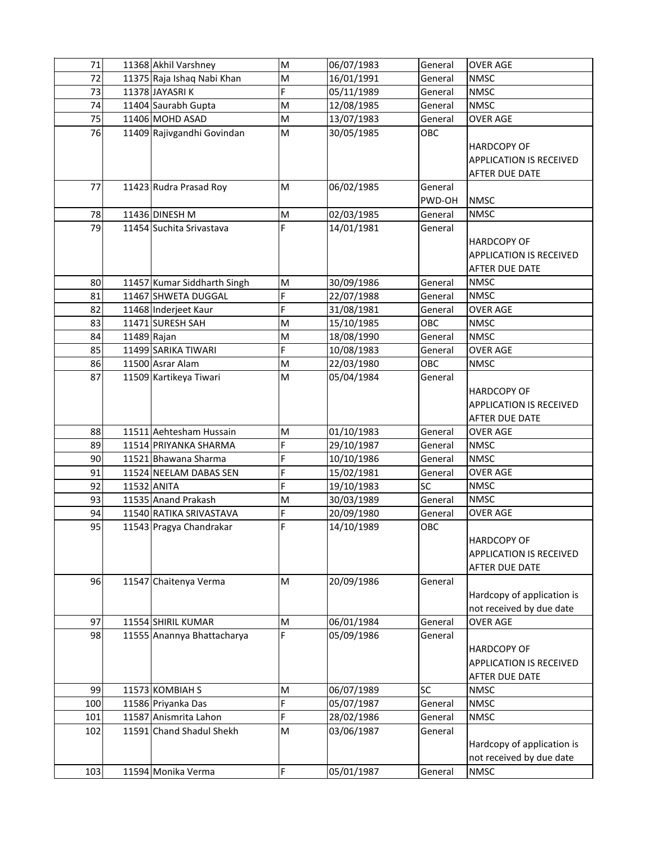| 71  |             | 11368 Akhil Varshney        | M  | 06/07/1983 | General   | <b>OVER AGE</b>                |
|-----|-------------|-----------------------------|----|------------|-----------|--------------------------------|
| 72  |             | 11375 Raja Ishaq Nabi Khan  | M  | 16/01/1991 | General   | <b>NMSC</b>                    |
| 73  |             | 11378 JAYASRIK              | F. | 05/11/1989 | General   | <b>NMSC</b>                    |
| 74  |             | 11404 Saurabh Gupta         | M  | 12/08/1985 | General   | <b>NMSC</b>                    |
| 75  |             | 11406 MOHD ASAD             | M  | 13/07/1983 | General   | <b>OVER AGE</b>                |
| 76  |             | 11409 Rajivgandhi Govindan  | M  | 30/05/1985 | OBC       |                                |
|     |             |                             |    |            |           | <b>HARDCOPY OF</b>             |
|     |             |                             |    |            |           | <b>APPLICATION IS RECEIVED</b> |
|     |             |                             |    |            |           | <b>AFTER DUE DATE</b>          |
| 77  |             | 11423 Rudra Prasad Roy      | M  | 06/02/1985 | General   |                                |
|     |             |                             |    |            | PWD-OH    | <b>NMSC</b>                    |
| 78  |             | 11436 DINESH M              | M  | 02/03/1985 | General   | <b>NMSC</b>                    |
| 79  |             | 11454 Suchita Srivastava    | F  | 14/01/1981 | General   |                                |
|     |             |                             |    |            |           | <b>HARDCOPY OF</b>             |
|     |             |                             |    |            |           | <b>APPLICATION IS RECEIVED</b> |
|     |             |                             |    |            |           | AFTER DUE DATE                 |
| 80  |             | 11457 Kumar Siddharth Singh | M  | 30/09/1986 | General   | <b>NMSC</b>                    |
| 81  |             | 11467 SHWETA DUGGAL         | F  | 22/07/1988 | General   | <b>NMSC</b>                    |
| 82  |             | 11468 Inderjeet Kaur        | F  | 31/08/1981 | General   | <b>OVER AGE</b>                |
| 83  |             | 11471 SURESH SAH            | M  | 15/10/1985 | OBC       | <b>NMSC</b>                    |
| 84  | 11489 Rajan |                             | M  | 18/08/1990 | General   | <b>NMSC</b>                    |
| 85  |             | 11499 SARIKA TIWARI         | F  | 10/08/1983 | General   | <b>OVER AGE</b>                |
| 86  |             | 11500 Asrar Alam            | M  | 22/03/1980 | OBC       | <b>NMSC</b>                    |
| 87  |             | 11509 Kartikeya Tiwari      | M  | 05/04/1984 | General   |                                |
|     |             |                             |    |            |           | <b>HARDCOPY OF</b>             |
|     |             |                             |    |            |           | <b>APPLICATION IS RECEIVED</b> |
|     |             |                             |    |            |           | <b>AFTER DUE DATE</b>          |
| 88  |             | 11511 Aehtesham Hussain     | M  | 01/10/1983 | General   | <b>OVER AGE</b>                |
| 89  |             | 11514 PRIYANKA SHARMA       | F  | 29/10/1987 | General   | <b>NMSC</b>                    |
| 90  |             | 11521 Bhawana Sharma        | F  | 10/10/1986 | General   | <b>NMSC</b>                    |
| 91  |             | 11524 NEELAM DABAS SEN      | F  | 15/02/1981 | General   | <b>OVER AGE</b>                |
| 92  |             | 11532 ANITA                 | F  | 19/10/1983 | SC        | <b>NMSC</b>                    |
| 93  |             | 11535 Anand Prakash         | M  | 30/03/1989 | General   | <b>NMSC</b>                    |
| 94  |             | 11540 RATIKA SRIVASTAVA     | F  | 20/09/1980 | General   | <b>OVER AGE</b>                |
| 95  |             | 11543 Pragya Chandrakar     | F  | 14/10/1989 | OBC       |                                |
|     |             |                             |    |            |           | <b>HARDCOPY OF</b>             |
|     |             |                             |    |            |           | <b>APPLICATION IS RECEIVED</b> |
|     |             |                             |    |            |           | <b>AFTER DUE DATE</b>          |
| 96  |             | 11547 Chaitenya Verma       | M  | 20/09/1986 | General   |                                |
|     |             |                             |    |            |           | Hardcopy of application is     |
|     |             |                             |    |            |           | not received by due date       |
| 97  |             | 11554 SHIRIL KUMAR          | M  | 06/01/1984 | General   | <b>OVER AGE</b>                |
| 98  |             | 11555 Anannya Bhattacharya  | F  | 05/09/1986 | General   |                                |
|     |             |                             |    |            |           | <b>HARDCOPY OF</b>             |
|     |             |                             |    |            |           | <b>APPLICATION IS RECEIVED</b> |
|     |             |                             |    |            |           | AFTER DUE DATE                 |
| 99  |             | 11573 KOMBIAH S             | M  | 06/07/1989 | <b>SC</b> | <b>NMSC</b>                    |
| 100 |             | 11586 Priyanka Das          | F  | 05/07/1987 | General   | <b>NMSC</b>                    |
| 101 |             | 11587 Anismrita Lahon       | F  | 28/02/1986 | General   | <b>NMSC</b>                    |
| 102 |             | 11591 Chand Shadul Shekh    | M  | 03/06/1987 | General   |                                |
|     |             |                             |    |            |           | Hardcopy of application is     |
|     |             |                             |    |            |           | not received by due date       |
| 103 |             | 11594 Monika Verma          | F  | 05/01/1987 | General   | <b>NMSC</b>                    |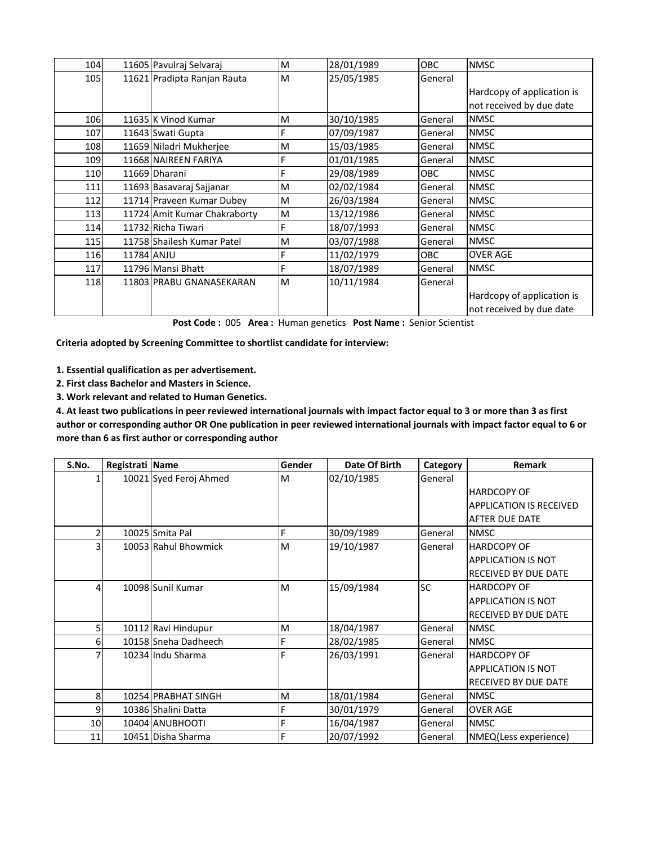| 104 |            | 11605 Pavulraj Selvaraj      | M | 28/01/1989 | <b>OBC</b> | <b>NMSC</b>                |
|-----|------------|------------------------------|---|------------|------------|----------------------------|
| 105 |            | 11621 Pradipta Ranjan Rauta  | M | 25/05/1985 | General    |                            |
|     |            |                              |   |            |            | Hardcopy of application is |
|     |            |                              |   |            |            | not received by due date   |
| 106 |            | 11635 K Vinod Kumar          | M | 30/10/1985 | General    | <b>NMSC</b>                |
| 107 |            | 11643 Swati Gupta            |   | 07/09/1987 | General    | <b>NMSC</b>                |
| 108 |            | 11659 Niladri Mukherjee      | M | 15/03/1985 | General    | <b>NMSC</b>                |
| 109 |            | 11668 NAIREEN FARIYA         | F | 01/01/1985 | General    | <b>NMSC</b>                |
| 110 |            | 11669 Dharani                | F | 29/08/1989 | <b>OBC</b> | <b>NMSC</b>                |
| 111 |            | 11693 Basavaraj Sajjanar     | M | 02/02/1984 | General    | <b>NMSC</b>                |
| 112 |            | 11714 Praveen Kumar Dubey    | M | 26/03/1984 | General    | <b>NMSC</b>                |
| 113 |            | 11724 Amit Kumar Chakraborty | M | 13/12/1986 | General    | <b>NMSC</b>                |
| 114 |            | 11732 Richa Tiwari           | F | 18/07/1993 | General    | <b>NMSC</b>                |
| 115 |            | 11758 Shailesh Kumar Patel   | M | 03/07/1988 | General    | <b>NMSC</b>                |
| 116 | 11784 ANJU |                              |   | 11/02/1979 | OBC.       | <b>OVER AGE</b>            |
| 117 |            | 11796 Mansi Bhatt            | F | 18/07/1989 | General    | <b>NMSC</b>                |
| 118 |            | 11803 PRABU GNANASEKARAN     | M | 10/11/1984 | General    |                            |
|     |            |                              |   |            |            | Hardcopy of application is |
|     |            |                              |   |            |            | not received by due date   |

**Post Code :** 005 **Area :** Human genetics **Post Name :** Senior Scientist

**Criteria adopted by Screening Committee to shortlist candidate for interview:**

**1. Essential qualification as per advertisement.**

**2. First class Bachelor and Masters in Science.**

**3. Work relevant and related to Human Genetics.**

**4. At least two publications in peer reviewed international journals with impact factor equal to 3 or more than 3 as first author or corresponding author OR One publication in peer reviewed international journals with impact factor equal to 6 or more than 6 as first author or corresponding author**

| S.No. | Registrati Name |                        | Gender | Date Of Birth | Category  | <b>Remark</b>                  |
|-------|-----------------|------------------------|--------|---------------|-----------|--------------------------------|
|       |                 | 10021 Syed Feroj Ahmed | M      | 02/10/1985    | General   |                                |
|       |                 |                        |        |               |           | <b>HARDCOPY OF</b>             |
|       |                 |                        |        |               |           | <b>APPLICATION IS RECEIVED</b> |
|       |                 |                        |        |               |           | AFTER DUE DATE                 |
|       |                 | 10025 Smita Pal        | F      | 30/09/1989    | General   | <b>NMSC</b>                    |
|       |                 | 10053 Rahul Bhowmick   | M      | 19/10/1987    | General   | <b>HARDCOPY OF</b>             |
|       |                 |                        |        |               |           | <b>APPLICATION IS NOT</b>      |
|       |                 |                        |        |               |           | <b>RECEIVED BY DUE DATE</b>    |
| 4     |                 | 10098 Sunil Kumar      | M      | 15/09/1984    | <b>SC</b> | <b>HARDCOPY OF</b>             |
|       |                 |                        |        |               |           | <b>APPLICATION IS NOT</b>      |
|       |                 |                        |        |               |           | <b>RECEIVED BY DUE DATE</b>    |
| 5     |                 | 10112 Ravi Hindupur    | M      | 18/04/1987    | General   | <b>NMSC</b>                    |
| 6     |                 | 10158 Sneha Dadheech   | F      | 28/02/1985    | General   | <b>NMSC</b>                    |
|       |                 | 10234 Indu Sharma      | F      | 26/03/1991    | General   | <b>HARDCOPY OF</b>             |
|       |                 |                        |        |               |           | <b>APPLICATION IS NOT</b>      |
|       |                 |                        |        |               |           | <b>RECEIVED BY DUE DATE</b>    |
| 8     |                 | 10254 PRABHAT SINGH    | M      | 18/01/1984    | General   | <b>NMSC</b>                    |
| 9     |                 | 10386 Shalini Datta    | F      | 30/01/1979    | General   | <b>OVER AGE</b>                |
| 10    |                 | 10404 ANUBHOOTI        | F      | 16/04/1987    | General   | <b>NMSC</b>                    |
| 11    |                 | 10451 Disha Sharma     | F      | 20/07/1992    | General   | NMEQ(Less experience)          |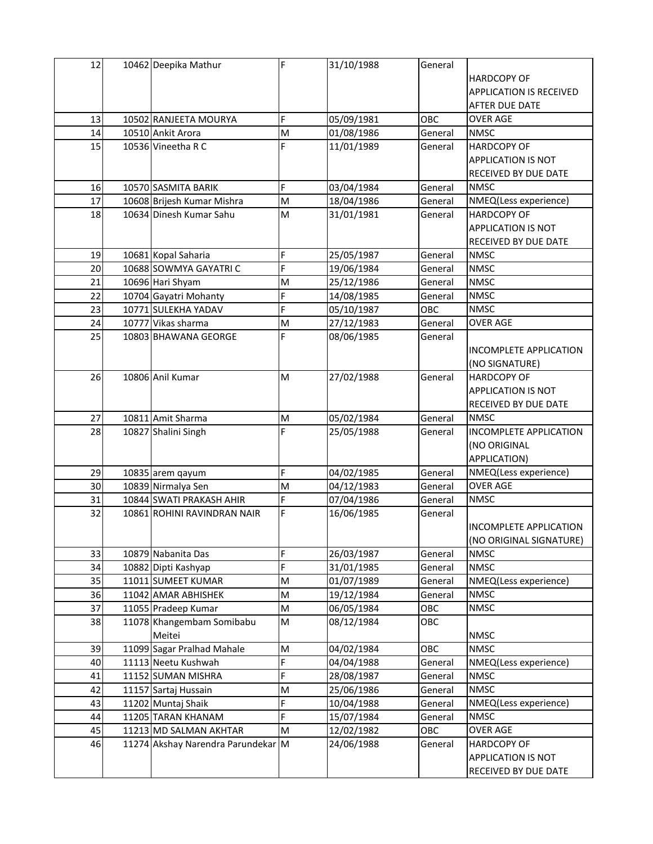| 12 | 10462 Deepika Mathur               | F | 31/10/1988 | General |                                |
|----|------------------------------------|---|------------|---------|--------------------------------|
|    |                                    |   |            |         | <b>HARDCOPY OF</b>             |
|    |                                    |   |            |         | <b>APPLICATION IS RECEIVED</b> |
|    |                                    |   |            |         | AFTER DUE DATE                 |
| 13 | 10502 RANJEETA MOURYA              | F | 05/09/1981 | OBC     | <b>OVER AGE</b>                |
| 14 | 10510 Ankit Arora                  | M | 01/08/1986 | General | <b>NMSC</b>                    |
| 15 | 10536 Vineetha R C                 | F | 11/01/1989 | General | <b>HARDCOPY OF</b>             |
|    |                                    |   |            |         | APPLICATION IS NOT             |
|    |                                    |   |            |         | RECEIVED BY DUE DATE           |
| 16 | 10570 SASMITA BARIK                | F | 03/04/1984 | General | <b>NMSC</b>                    |
| 17 | 10608 Brijesh Kumar Mishra         | M | 18/04/1986 | General | NMEQ(Less experience)          |
| 18 | 10634 Dinesh Kumar Sahu            | M | 31/01/1981 | General | <b>HARDCOPY OF</b>             |
|    |                                    |   |            |         | APPLICATION IS NOT             |
|    |                                    |   |            |         | RECEIVED BY DUE DATE           |
| 19 | 10681 Kopal Saharia                | F | 25/05/1987 | General | <b>NMSC</b>                    |
| 20 | 10688 SOWMYA GAYATRI C             | F | 19/06/1984 | General | <b>NMSC</b>                    |
| 21 | 10696 Hari Shyam                   | M | 25/12/1986 | General | <b>NMSC</b>                    |
| 22 | 10704 Gayatri Mohanty              | F | 14/08/1985 | General | <b>NMSC</b>                    |
| 23 | 10771 SULEKHA YADAV                | F | 05/10/1987 | OBC     | <b>NMSC</b>                    |
| 24 | 10777 Vikas sharma                 | M | 27/12/1983 | General | <b>OVER AGE</b>                |
| 25 | 10803 BHAWANA GEORGE               | F | 08/06/1985 | General |                                |
|    |                                    |   |            |         | INCOMPLETE APPLICATION         |
|    |                                    |   |            |         | (NO SIGNATURE)                 |
| 26 | 10806 Anil Kumar                   | M | 27/02/1988 | General | <b>HARDCOPY OF</b>             |
|    |                                    |   |            |         | APPLICATION IS NOT             |
|    |                                    |   |            |         | RECEIVED BY DUE DATE           |
| 27 | 10811 Amit Sharma                  | M | 05/02/1984 | General | <b>NMSC</b>                    |
| 28 | 10827 Shalini Singh                | F | 25/05/1988 | General | INCOMPLETE APPLICATION         |
|    |                                    |   |            |         | (NO ORIGINAL                   |
|    |                                    |   |            |         | APPLICATION)                   |
| 29 | 10835 arem qayum                   | F | 04/02/1985 | General | NMEQ(Less experience)          |
| 30 | 10839 Nirmalya Sen                 | M | 04/12/1983 | General | <b>OVER AGE</b>                |
| 31 | 10844 SWATI PRAKASH AHIR           | F | 07/04/1986 | General | <b>NMSC</b>                    |
| 32 | 10861 ROHINI RAVINDRAN NAIR        | F | 16/06/1985 | General |                                |
|    |                                    |   |            |         | <b>INCOMPLETE APPLICATION</b>  |
|    |                                    |   |            |         | (NO ORIGINAL SIGNATURE)        |
| 33 | 10879 Nabanita Das                 | F | 26/03/1987 | General | <b>NMSC</b>                    |
| 34 | 10882 Dipti Kashyap                | F | 31/01/1985 | General | <b>NMSC</b>                    |
| 35 | 11011 SUMEET KUMAR                 | M | 01/07/1989 | General | NMEQ(Less experience)          |
| 36 | 11042 AMAR ABHISHEK                | M | 19/12/1984 | General | <b>NMSC</b>                    |
| 37 | 11055 Pradeep Kumar                | M | 06/05/1984 | OBC     | <b>NMSC</b>                    |
| 38 | 11078 Khangembam Somibabu          | M | 08/12/1984 | OBC     |                                |
|    | Meitei                             |   |            |         | <b>NMSC</b>                    |
| 39 | 11099 Sagar Pralhad Mahale         | M | 04/02/1984 | OBC     | <b>NMSC</b>                    |
| 40 | 11113 Neetu Kushwah                | F | 04/04/1988 | General | NMEQ(Less experience)          |
| 41 | 11152 SUMAN MISHRA                 | F | 28/08/1987 | General | <b>NMSC</b>                    |
| 42 | 11157 Sartaj Hussain               | M | 25/06/1986 | General | <b>NMSC</b>                    |
| 43 | 11202 Muntaj Shaik                 | F | 10/04/1988 | General | NMEQ(Less experience)          |
| 44 | 11205 TARAN KHANAM                 | F | 15/07/1984 | General | <b>NMSC</b>                    |
| 45 | 11213 MD SALMAN AKHTAR             | M | 12/02/1982 | OBC     | <b>OVER AGE</b>                |
| 46 | 11274 Akshay Narendra Parundekar M |   | 24/06/1988 | General | <b>HARDCOPY OF</b>             |
|    |                                    |   |            |         | APPLICATION IS NOT             |
|    |                                    |   |            |         | RECEIVED BY DUE DATE           |
|    |                                    |   |            |         |                                |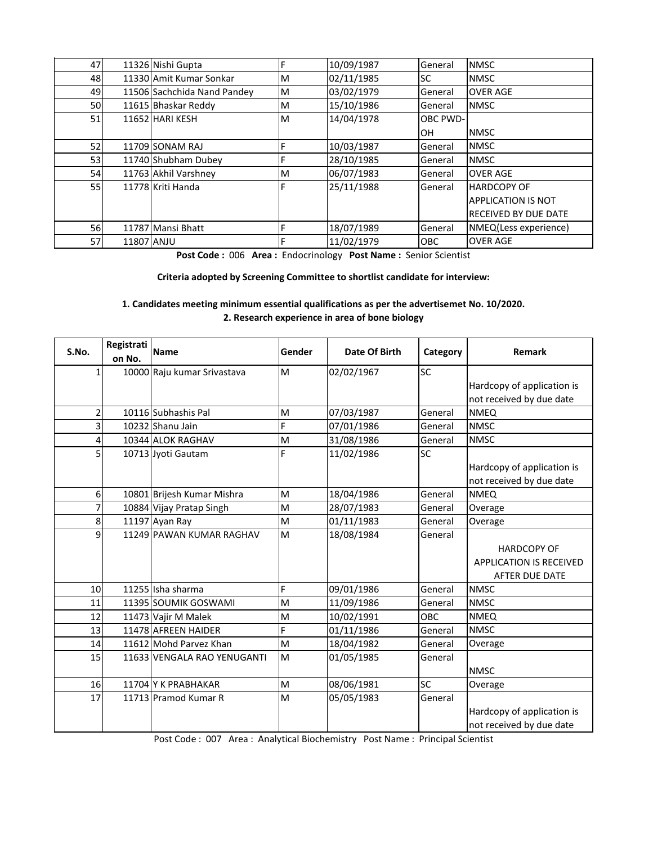| 47              |            | 11326 Nishi Gupta           |   | 10/09/1987 | General    | <b>NMSC</b>                 |
|-----------------|------------|-----------------------------|---|------------|------------|-----------------------------|
| 48              |            | 11330 Amit Kumar Sonkar     | м | 02/11/1985 | <b>SC</b>  | <b>NMSC</b>                 |
| 49              |            | 11506 Sachchida Nand Pandey | М | 03/02/1979 | General    | <b>OVER AGE</b>             |
| 50              |            | 11615 Bhaskar Reddy         | м | 15/10/1986 | General    | <b>NMSC</b>                 |
| 51              |            | 11652 HARI KESH             | М | 14/04/1978 | OBC PWD-   |                             |
|                 |            |                             |   |            | OН         | <b>NMSC</b>                 |
| 52              |            | 11709 SONAM RAJ             |   | 10/03/1987 | General    | <b>NMSC</b>                 |
| 53 <sub>l</sub> |            | 11740 Shubham Dubey         | Ė | 28/10/1985 | General    | <b>NMSC</b>                 |
| 54              |            | 11763 Akhil Varshney        | м | 06/07/1983 | General    | <b>OVER AGE</b>             |
| <b>55</b>       |            | 11778 Kriti Handa           | E | 25/11/1988 | General    | <b>HARDCOPY OF</b>          |
|                 |            |                             |   |            |            | <b>APPLICATION IS NOT</b>   |
|                 |            |                             |   |            |            | <b>RECEIVED BY DUE DATE</b> |
| 56              |            | 11787 Mansi Bhatt           | F | 18/07/1989 | General    | NMEQ(Less experience)       |
| <b>57</b>       | 11807 ANJU |                             | F | 11/02/1979 | <b>OBC</b> | <b>OVER AGE</b>             |

**Post Code :** 006 **Area :** Endocrinology **Post Name :** Senior Scientist

**Criteria adopted by Screening Committee to shortlist candidate for interview:**

**1. Candidates meeting minimum essential qualifications as per the advertisemet No. 10/2020. 2. Research experience in area of bone biology**

| S.No.            | Registrati<br>on No. | Name                        | Gender | Date Of Birth | Category   | Remark                     |
|------------------|----------------------|-----------------------------|--------|---------------|------------|----------------------------|
| 1                |                      | 10000 Raju kumar Srivastava | M      | 02/02/1967    | SC         |                            |
|                  |                      |                             |        |               |            | Hardcopy of application is |
|                  |                      |                             |        |               |            | not received by due date   |
| $\overline{2}$   |                      | 10116 Subhashis Pal         | M      | 07/03/1987    | General    | <b>NMEQ</b>                |
| 3                |                      | 10232 Shanu Jain            | F      | 07/01/1986    | General    | <b>NMSC</b>                |
| 4                |                      | 10344 ALOK RAGHAV           | M      | 31/08/1986    | General    | <b>NMSC</b>                |
| 5                |                      | 10713 Jyoti Gautam          | F      | 11/02/1986    | SC         |                            |
|                  |                      |                             |        |               |            | Hardcopy of application is |
|                  |                      |                             |        |               |            | not received by due date   |
| $6 \overline{6}$ |                      | 10801 Brijesh Kumar Mishra  | M      | 18/04/1986    | General    | <b>NMEQ</b>                |
|                  |                      | 10884 Vijay Pratap Singh    | M      | 28/07/1983    | General    | Overage                    |
| 8                |                      | 11197 Ayan Ray              | M      | 01/11/1983    | General    | Overage                    |
| 9                |                      | 11249 PAWAN KUMAR RAGHAV    | M      | 18/08/1984    | General    |                            |
|                  |                      |                             |        |               |            | <b>HARDCOPY OF</b>         |
|                  |                      |                             |        |               |            | APPLICATION IS RECEIVED    |
|                  |                      |                             |        |               |            | AFTER DUE DATE             |
| 10               |                      | 11255 Isha sharma           | F      | 09/01/1986    | General    | <b>NMSC</b>                |
| 11               |                      | 11395 SOUMIK GOSWAMI        | M      | 11/09/1986    | General    | <b>NMSC</b>                |
| 12               |                      | 11473 Vajir M Malek         | M      | 10/02/1991    | <b>OBC</b> | <b>NMEQ</b>                |
| 13               |                      | 11478 AFREEN HAIDER         | F      | 01/11/1986    | General    | <b>NMSC</b>                |
| 14               |                      | 11612 Mohd Parvez Khan      | M      | 18/04/1982    | General    | Overage                    |
| 15               |                      | 11633 VENGALA RAO YENUGANTI | M      | 01/05/1985    | General    |                            |
|                  |                      |                             |        |               |            | <b>NMSC</b>                |
| 16               |                      | 11704 Y K PRABHAKAR         | M      | 08/06/1981    | SC         | Overage                    |
| 17               |                      | 11713 Pramod Kumar R        | M      | 05/05/1983    | General    |                            |
|                  |                      |                             |        |               |            | Hardcopy of application is |
|                  |                      |                             |        |               |            | not received by due date   |

Post Code : 007 Area : Analytical Biochemistry Post Name : Principal Scientist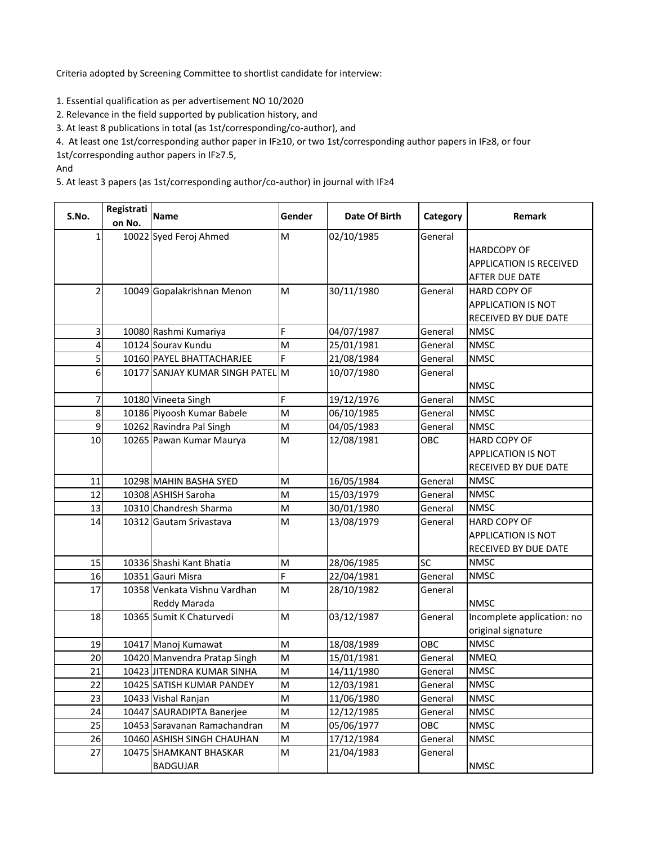Criteria adopted by Screening Committee to shortlist candidate for interview:

1. Essential qualification as per advertisement NO 10/2020

2. Relevance in the field supported by publication history, and

3. At least 8 publications in total (as 1st/corresponding/co-author), and

4. At least one 1st/corresponding author paper in IF≥10, or two 1st/corresponding author papers in IF≥8, or four

1st/corresponding author papers in IF≥7.5,

And

5. At least 3 papers (as 1st/corresponding author/co-author) in journal with IF≥4

| S.No.          | Registrati | <b>Name</b>                      | Gender    | Date Of Birth | Category | Remark                         |
|----------------|------------|----------------------------------|-----------|---------------|----------|--------------------------------|
|                | on No.     |                                  |           |               |          |                                |
| 1              |            | 10022 Syed Feroj Ahmed           | M         | 02/10/1985    | General  |                                |
|                |            |                                  |           |               |          | <b>HARDCOPY OF</b>             |
|                |            |                                  |           |               |          | <b>APPLICATION IS RECEIVED</b> |
|                |            |                                  |           |               |          | <b>AFTER DUE DATE</b>          |
| 21             |            | 10049 Gopalakrishnan Menon       | M         | 30/11/1980    | General  | <b>HARD COPY OF</b>            |
|                |            |                                  |           |               |          | APPLICATION IS NOT             |
|                |            |                                  |           |               |          | RECEIVED BY DUE DATE           |
| 3              |            | 10080 Rashmi Kumariya            | F         | 04/07/1987    | General  | <b>NMSC</b>                    |
| 4              |            | 10124 Sourav Kundu               | M         | 25/01/1981    | General  | <b>NMSC</b>                    |
| $\mathsf{s}$   |            | 10160 PAYEL BHATTACHARJEE        | F         | 21/08/1984    | General  | <b>NMSC</b>                    |
| $6 \mid$       |            | 10177 SANJAY KUMAR SINGH PATEL M |           | 10/07/1980    | General  |                                |
|                |            |                                  |           |               |          | <b>NMSC</b>                    |
| $\overline{7}$ |            | 10180 Vineeta Singh              | F         | 19/12/1976    | General  | <b>NMSC</b>                    |
| 8              |            | 10186 Piyoosh Kumar Babele       | M         | 06/10/1985    | General  | <b>NMSC</b>                    |
| 9              |            | 10262 Ravindra Pal Singh         | M         | 04/05/1983    | General  | <b>NMSC</b>                    |
| 10             |            | 10265 Pawan Kumar Maurya         | M         | 12/08/1981    | OBC      | <b>HARD COPY OF</b>            |
|                |            |                                  |           |               |          | <b>APPLICATION IS NOT</b>      |
|                |            |                                  |           |               |          | RECEIVED BY DUE DATE           |
| 11             |            | 10298 MAHIN BASHA SYED           | M         | 16/05/1984    | General  | <b>NMSC</b>                    |
| 12             |            | 10308 ASHISH Saroha              | M         | 15/03/1979    | General  | <b>NMSC</b>                    |
| 13             |            | 10310 Chandresh Sharma           | M         | 30/01/1980    | General  | <b>NMSC</b>                    |
| 14             |            | 10312 Gautam Srivastava          | M         | 13/08/1979    | General  | HARD COPY OF                   |
|                |            |                                  |           |               |          | APPLICATION IS NOT             |
|                |            |                                  |           |               |          | RECEIVED BY DUE DATE           |
| 15             |            | 10336 Shashi Kant Bhatia         | M         | 28/06/1985    | SC       | <b>NMSC</b>                    |
| 16             |            | 10351 Gauri Misra                | F         | 22/04/1981    | General  | <b>NMSC</b>                    |
| 17             |            | 10358 Venkata Vishnu Vardhan     | M         | 28/10/1982    | General  |                                |
|                |            | Reddy Marada                     |           |               |          | <b>NMSC</b>                    |
| 18             |            | 10365 Sumit K Chaturvedi         | M         | 03/12/1987    | General  | Incomplete application: no     |
|                |            |                                  |           |               |          | original signature             |
| 19             |            | 10417 Manoj Kumawat              | M         | 18/08/1989    | OBC      | <b>NMSC</b>                    |
| 20             |            | 10420 Manvendra Pratap Singh     | M         | 15/01/1981    | General  | <b>NMEQ</b>                    |
| 21             |            | 10423 JITENDRA KUMAR SINHA       | M         | 14/11/1980    | General  | <b>NMSC</b>                    |
| 22             |            | 10425 SATISH KUMAR PANDEY        | M         | 12/03/1981    | General  | <b>NMSC</b>                    |
| 23             |            | 10433 Vishal Ranjan              | M         | 11/06/1980    | General  | <b>NMSC</b>                    |
| 24             |            | 10447 SAURADIPTA Banerjee        | M         | 12/12/1985    | General  | <b>NMSC</b>                    |
| 25             |            | 10453 Saravanan Ramachandran     | ${\sf M}$ | 05/06/1977    | OBC      | <b>NMSC</b>                    |
| 26             |            | 10460 ASHISH SINGH CHAUHAN       | M         | 17/12/1984    | General  | <b>NMSC</b>                    |
| 27             |            | 10475 SHAMKANT BHASKAR           | M         | 21/04/1983    | General  |                                |
|                |            | <b>BADGUJAR</b>                  |           |               |          | <b>NMSC</b>                    |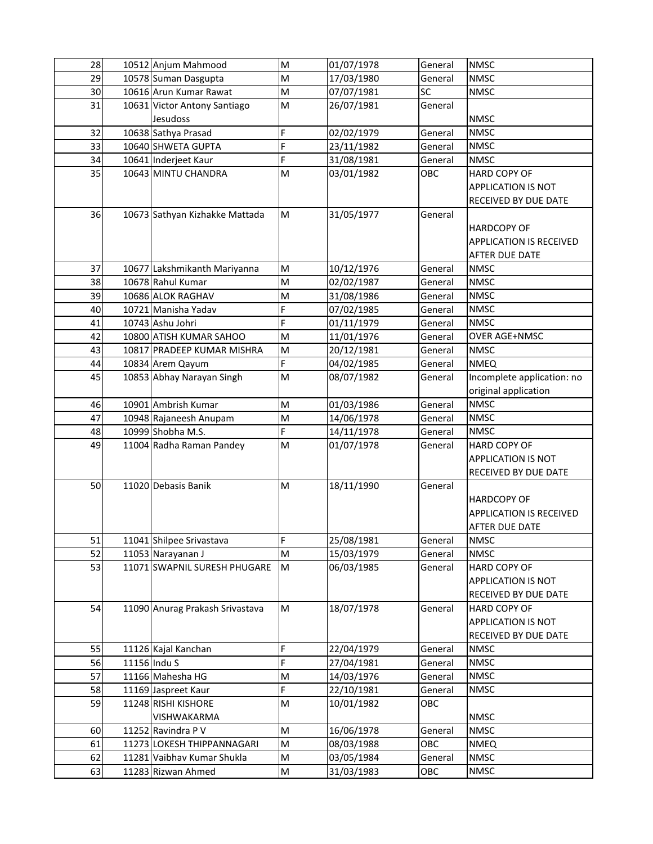| 28 | 10512 Anjum Mahmood             | M | 01/07/1978 | General   | <b>NMSC</b>                    |
|----|---------------------------------|---|------------|-----------|--------------------------------|
| 29 | 10578 Suman Dasgupta            | M | 17/03/1980 | General   | <b>NMSC</b>                    |
| 30 | 10616 Arun Kumar Rawat          | M | 07/07/1981 | <b>SC</b> | <b>NMSC</b>                    |
| 31 | 10631 Victor Antony Santiago    | M | 26/07/1981 | General   |                                |
|    | Jesudoss                        |   |            |           | <b>NMSC</b>                    |
| 32 | 10638 Sathya Prasad             | F | 02/02/1979 | General   | <b>NMSC</b>                    |
| 33 | 10640 SHWETA GUPTA              | F | 23/11/1982 | General   | <b>NMSC</b>                    |
| 34 | 10641 Inderjeet Kaur            | F | 31/08/1981 | General   | <b>NMSC</b>                    |
| 35 | 10643 MINTU CHANDRA             | M | 03/01/1982 | OBC       | <b>HARD COPY OF</b>            |
|    |                                 |   |            |           | <b>APPLICATION IS NOT</b>      |
|    |                                 |   |            |           | RECEIVED BY DUE DATE           |
| 36 | 10673 Sathyan Kizhakke Mattada  | M | 31/05/1977 | General   |                                |
|    |                                 |   |            |           | <b>HARDCOPY OF</b>             |
|    |                                 |   |            |           | <b>APPLICATION IS RECEIVED</b> |
|    |                                 |   |            |           | AFTER DUE DATE                 |
| 37 | 10677 Lakshmikanth Mariyanna    | M | 10/12/1976 | General   | <b>NMSC</b>                    |
| 38 | 10678 Rahul Kumar               | M | 02/02/1987 | General   | <b>NMSC</b>                    |
| 39 | 10686 ALOK RAGHAV               | M | 31/08/1986 | General   | <b>NMSC</b>                    |
| 40 | 10721 Manisha Yadav             | F | 07/02/1985 | General   | <b>NMSC</b>                    |
| 41 | 10743 Ashu Johri                | F | 01/11/1979 | General   | <b>NMSC</b>                    |
| 42 | 10800 ATISH KUMAR SAHOO         | M | 11/01/1976 | General   | <b>OVER AGE+NMSC</b>           |
| 43 | 10817 PRADEEP KUMAR MISHRA      | M | 20/12/1981 | General   | <b>NMSC</b>                    |
| 44 | 10834 Arem Qayum                | F | 04/02/1985 | General   | <b>NMEQ</b>                    |
| 45 | 10853 Abhay Narayan Singh       | M | 08/07/1982 | General   | Incomplete application: no     |
|    |                                 |   |            |           | original application           |
| 46 | 10901 Ambrish Kumar             | M | 01/03/1986 | General   | <b>NMSC</b>                    |
| 47 | 10948 Rajaneesh Anupam          | M | 14/06/1978 | General   | <b>NMSC</b>                    |
| 48 | 10999 Shobha M.S.               | F | 14/11/1978 | General   | <b>NMSC</b>                    |
| 49 | 11004 Radha Raman Pandey        | M | 01/07/1978 | General   | <b>HARD COPY OF</b>            |
|    |                                 |   |            |           | <b>APPLICATION IS NOT</b>      |
|    |                                 |   |            |           | RECEIVED BY DUE DATE           |
| 50 | 11020 Debasis Banik             | M | 18/11/1990 | General   |                                |
|    |                                 |   |            |           | <b>HARDCOPY OF</b>             |
|    |                                 |   |            |           | <b>APPLICATION IS RECEIVED</b> |
|    |                                 |   |            |           | <b>AFTER DUE DATE</b>          |
| 51 | 11041 Shilpee Srivastava        | F | 25/08/1981 | General   | <b>NMSC</b>                    |
| 52 | 11053 Narayanan J               | M | 15/03/1979 | General   | <b>NMSC</b>                    |
| 53 | 11071 SWAPNIL SURESH PHUGARE    | M | 06/03/1985 | General   | HARD COPY OF                   |
|    |                                 |   |            |           | <b>APPLICATION IS NOT</b>      |
|    |                                 |   |            |           | RECEIVED BY DUE DATE           |
| 54 | 11090 Anurag Prakash Srivastava | M | 18/07/1978 | General   | HARD COPY OF                   |
|    |                                 |   |            |           | APPLICATION IS NOT             |
|    |                                 |   |            |           | RECEIVED BY DUE DATE           |
| 55 | 11126 Kajal Kanchan             | F | 22/04/1979 | General   | <b>NMSC</b>                    |
| 56 | 11156 Indu S                    | F | 27/04/1981 | General   | <b>NMSC</b>                    |
| 57 | 11166 Mahesha HG                | M | 14/03/1976 | General   | <b>NMSC</b>                    |
| 58 | 11169 Jaspreet Kaur             | F | 22/10/1981 | General   | <b>NMSC</b>                    |
| 59 | 11248 RISHI KISHORE             | M | 10/01/1982 | OBC       |                                |
|    | VISHWAKARMA                     |   |            |           | <b>NMSC</b>                    |
| 60 | 11252 Ravindra P V              | M | 16/06/1978 | General   | <b>NMSC</b>                    |
| 61 | 11273 LOKESH THIPPANNAGARI      | M | 08/03/1988 | OBC       | <b>NMEQ</b>                    |
| 62 | 11281 Vaibhav Kumar Shukla      | M | 03/05/1984 | General   | <b>NMSC</b>                    |
| 63 | 11283 Rizwan Ahmed              | M | 31/03/1983 | OBC       | <b>NMSC</b>                    |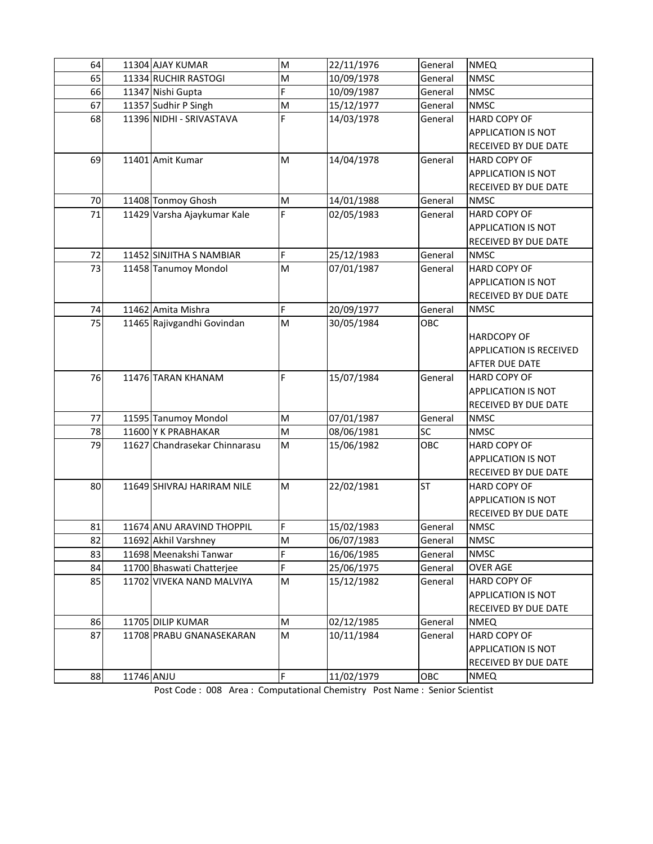| 64 |            | 11304 AJAY KUMAR              | M | 22/11/1976 | General   | <b>NMEQ</b>                    |
|----|------------|-------------------------------|---|------------|-----------|--------------------------------|
| 65 |            | 11334 RUCHIR RASTOGI          | M | 10/09/1978 | General   | <b>NMSC</b>                    |
| 66 |            | 11347 Nishi Gupta             | F | 10/09/1987 | General   | <b>NMSC</b>                    |
| 67 |            | 11357 Sudhir P Singh          | M | 15/12/1977 | General   | <b>NMSC</b>                    |
| 68 |            | 11396 NIDHI - SRIVASTAVA      | F | 14/03/1978 | General   | <b>HARD COPY OF</b>            |
|    |            |                               |   |            |           | APPLICATION IS NOT             |
|    |            |                               |   |            |           | RECEIVED BY DUE DATE           |
| 69 |            | 11401 Amit Kumar              | M | 14/04/1978 | General   | HARD COPY OF                   |
|    |            |                               |   |            |           | <b>APPLICATION IS NOT</b>      |
|    |            |                               |   |            |           | RECEIVED BY DUE DATE           |
| 70 |            | 11408 Tonmoy Ghosh            | M | 14/01/1988 | General   | <b>NMSC</b>                    |
| 71 |            | 11429 Varsha Ajaykumar Kale   | F | 02/05/1983 | General   | <b>HARD COPY OF</b>            |
|    |            |                               |   |            |           | <b>APPLICATION IS NOT</b>      |
|    |            |                               |   |            |           | RECEIVED BY DUE DATE           |
| 72 |            | 11452 SINJITHA S NAMBIAR      | F | 25/12/1983 | General   | <b>NMSC</b>                    |
| 73 |            | 11458 Tanumoy Mondol          | M | 07/01/1987 | General   | <b>HARD COPY OF</b>            |
|    |            |                               |   |            |           | <b>APPLICATION IS NOT</b>      |
|    |            |                               |   |            |           | RECEIVED BY DUE DATE           |
| 74 |            | 11462 Amita Mishra            | F | 20/09/1977 | General   | <b>NMSC</b>                    |
| 75 |            | 11465 Rajivgandhi Govindan    | M | 30/05/1984 | OBC       |                                |
|    |            |                               |   |            |           | <b>HARDCOPY OF</b>             |
|    |            |                               |   |            |           | <b>APPLICATION IS RECEIVED</b> |
|    |            |                               |   |            |           | <b>AFTER DUE DATE</b>          |
| 76 |            | 11476 TARAN KHANAM            | F | 15/07/1984 | General   | HARD COPY OF                   |
|    |            |                               |   |            |           | APPLICATION IS NOT             |
|    |            |                               |   |            |           | RECEIVED BY DUE DATE           |
| 77 |            | 11595 Tanumoy Mondol          | M | 07/01/1987 | General   | <b>NMSC</b>                    |
| 78 |            | 11600 Y K PRABHAKAR           | M | 08/06/1981 | <b>SC</b> | <b>NMSC</b>                    |
| 79 |            | 11627 Chandrasekar Chinnarasu | M | 15/06/1982 | OBC       | <b>HARD COPY OF</b>            |
|    |            |                               |   |            |           | APPLICATION IS NOT             |
|    |            |                               |   |            |           | RECEIVED BY DUE DATE           |
| 80 |            | 11649 SHIVRAJ HARIRAM NILE    | M | 22/02/1981 | <b>ST</b> | HARD COPY OF                   |
|    |            |                               |   |            |           | <b>APPLICATION IS NOT</b>      |
|    |            |                               |   |            |           | RECEIVED BY DUE DATE           |
| 81 |            | 11674 ANU ARAVIND THOPPIL     | F | 15/02/1983 | General   | <b>NMSC</b>                    |
| 82 |            | 11692 Akhil Varshney          | M | 06/07/1983 | General   | <b>NMSC</b>                    |
| 83 |            | 11698 Meenakshi Tanwar        | F | 16/06/1985 | General   | <b>NMSC</b>                    |
| 84 |            | 11700 Bhaswati Chatterjee     | F | 25/06/1975 | General   | <b>OVER AGE</b>                |
| 85 |            | 11702 VIVEKA NAND MALVIYA     | M | 15/12/1982 | General   | HARD COPY OF                   |
|    |            |                               |   |            |           | APPLICATION IS NOT             |
|    |            |                               |   |            |           | RECEIVED BY DUE DATE           |
| 86 |            | 11705 DILIP KUMAR             | M | 02/12/1985 | General   | <b>NMEQ</b>                    |
| 87 |            | 11708 PRABU GNANASEKARAN      | M | 10/11/1984 | General   | HARD COPY OF                   |
|    |            |                               |   |            |           | <b>APPLICATION IS NOT</b>      |
|    |            |                               |   |            |           | RECEIVED BY DUE DATE           |
| 88 | 11746 ANJU |                               | F | 11/02/1979 | OBC       | <b>NMEQ</b>                    |

Post Code : 008 Area : Computational Chemistry Post Name : Senior Scientist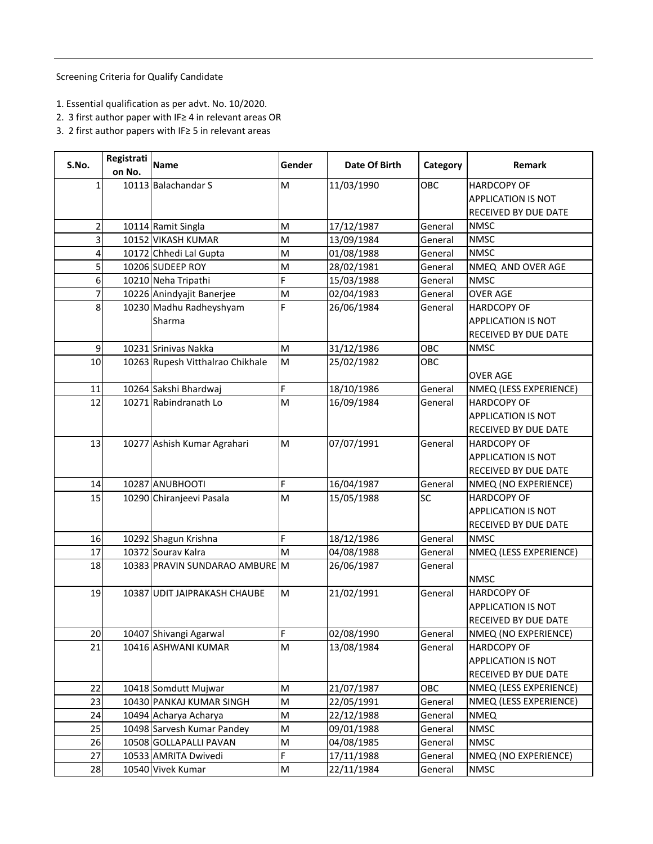Screening Criteria for Qualify Candidate

- 1. Essential qualification as per advt. No. 10/2020.
- 2. 3 first author paper with IF≥ 4 in relevant areas OR
- 3. 2 first author papers with IF≥ 5 in relevant areas

| S.No.                   | Registrati Name<br>on No. |                                          | Gender | Date Of Birth            | Category           | Remark                              |
|-------------------------|---------------------------|------------------------------------------|--------|--------------------------|--------------------|-------------------------------------|
| 1                       |                           | 10113 Balachandar S                      | M      | 11/03/1990               | OBC                | <b>HARDCOPY OF</b>                  |
|                         |                           |                                          |        |                          |                    | <b>APPLICATION IS NOT</b>           |
|                         |                           |                                          |        |                          |                    |                                     |
| $\overline{a}$          |                           |                                          | M      |                          |                    | RECEIVED BY DUE DATE<br><b>NMSC</b> |
| 3                       |                           | 10114 Ramit Singla<br>10152 VIKASH KUMAR | M      | 17/12/1987<br>13/09/1984 | General<br>General | <b>NMSC</b>                         |
| $\overline{\mathbf{r}}$ |                           | 10172 Chhedi Lal Gupta                   | M      | 01/08/1988               | General            | <b>NMSC</b>                         |
| 5                       |                           | 10206 SUDEEP ROY                         | M      | 28/02/1981               | General            | NMEQ AND OVER AGE                   |
| 6                       |                           | 10210 Neha Tripathi                      | F      | 15/03/1988               | General            | <b>NMSC</b>                         |
| $\overline{7}$          |                           | 10226 Anindyajit Banerjee                | M      | 02/04/1983               | General            | <b>OVER AGE</b>                     |
| 8                       |                           | 10230 Madhu Radheyshyam                  | F      | 26/06/1984               | General            | <b>HARDCOPY OF</b>                  |
|                         |                           | Sharma                                   |        |                          |                    | APPLICATION IS NOT                  |
|                         |                           |                                          |        |                          |                    | RECEIVED BY DUE DATE                |
| 9                       |                           | 10231 Srinivas Nakka                     | M      | 31/12/1986               | OBC                | <b>NMSC</b>                         |
| 10                      |                           | 10263 Rupesh Vitthalrao Chikhale         | M      | 25/02/1982               | OBC                |                                     |
|                         |                           |                                          |        |                          |                    | <b>OVER AGE</b>                     |
| $11\,$                  |                           | 10264 Sakshi Bhardwaj                    | F      | 18/10/1986               | General            | NMEQ (LESS EXPERIENCE)              |
| 12                      |                           | 10271 Rabindranath Lo                    | M      | 16/09/1984               | General            | <b>HARDCOPY OF</b>                  |
|                         |                           |                                          |        |                          |                    | <b>APPLICATION IS NOT</b>           |
|                         |                           |                                          |        |                          |                    | RECEIVED BY DUE DATE                |
| 13                      |                           | 10277 Ashish Kumar Agrahari              | M      | 07/07/1991               | General            | <b>HARDCOPY OF</b>                  |
|                         |                           |                                          |        |                          |                    | APPLICATION IS NOT                  |
|                         |                           |                                          |        |                          |                    | RECEIVED BY DUE DATE                |
| 14                      |                           | 10287 ANUBHOOTI                          | F      | 16/04/1987               | General            | NMEQ (NO EXPERIENCE)                |
| 15                      |                           | 10290 Chiranjeevi Pasala                 | M      | 15/05/1988               | SC                 | <b>HARDCOPY OF</b>                  |
|                         |                           |                                          |        |                          |                    | <b>APPLICATION IS NOT</b>           |
|                         |                           |                                          |        |                          |                    | RECEIVED BY DUE DATE                |
| 16                      |                           | 10292 Shagun Krishna                     | F      | 18/12/1986               | General            | <b>NMSC</b>                         |
| 17                      |                           | 10372 Sourav Kalra                       | M      | 04/08/1988               | General            | NMEQ (LESS EXPERIENCE)              |
| 18                      |                           | 10383 PRAVIN SUNDARAO AMBURE M           |        | 26/06/1987               | General            |                                     |
|                         |                           |                                          |        |                          |                    | <b>NMSC</b>                         |
| 19                      |                           | 10387 UDIT JAIPRAKASH CHAUBE             | M      | 21/02/1991               | General            | <b>HARDCOPY OF</b>                  |
|                         |                           |                                          |        |                          |                    | <b>APPLICATION IS NOT</b>           |
|                         |                           |                                          |        |                          |                    | RECEIVED BY DUE DATE                |
| 20                      |                           | 10407 Shivangi Agarwal                   | F      | 02/08/1990               | General            | NMEQ (NO EXPERIENCE)                |
| 21                      |                           | 10416 ASHWANI KUMAR                      | M      | 13/08/1984               | General            | <b>HARDCOPY OF</b>                  |
|                         |                           |                                          |        |                          |                    | APPLICATION IS NOT                  |
|                         |                           |                                          |        |                          |                    | RECEIVED BY DUE DATE                |
| 22                      |                           | 10418 Somdutt Mujwar                     | M      | 21/07/1987               | OBC                | NMEQ (LESS EXPERIENCE)              |
| 23                      |                           | 10430 PANKAJ KUMAR SINGH                 | M      | 22/05/1991               | General            | NMEQ (LESS EXPERIENCE)              |
| 24                      |                           | 10494 Acharya Acharya                    | M      | 22/12/1988               | General            | <b>NMEQ</b>                         |
| 25                      |                           | 10498 Sarvesh Kumar Pandey               | M      | 09/01/1988               | General            | <b>NMSC</b>                         |
| 26                      |                           | 10508 GOLLAPALLI PAVAN                   | M      | 04/08/1985               | General            | <b>NMSC</b>                         |
| 27                      |                           | 10533 AMRITA Dwivedi                     | F      | 17/11/1988               | General            | NMEQ (NO EXPERIENCE)                |
| 28                      |                           | 10540 Vivek Kumar                        | M      | 22/11/1984               | General            | <b>NMSC</b>                         |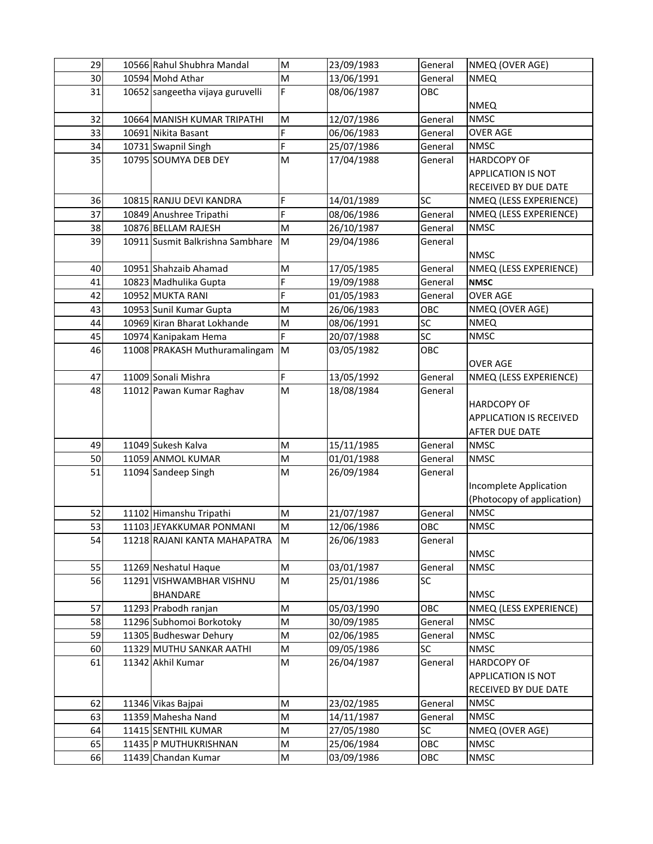| 29 | 10566 Rahul Shubhra Mandal       | M  | 23/09/1983 | General | NMEQ (OVER AGE)                |
|----|----------------------------------|----|------------|---------|--------------------------------|
| 30 | 10594 Mohd Athar                 | M  | 13/06/1991 | General | <b>NMEQ</b>                    |
| 31 | 10652 sangeetha vijaya guruvelli | F  | 08/06/1987 | OBC     |                                |
|    |                                  |    |            |         | <b>NMEQ</b>                    |
| 32 | 10664 MANISH KUMAR TRIPATHI      | M  | 12/07/1986 | General | <b>NMSC</b>                    |
| 33 | 10691 Nikita Basant              | F  | 06/06/1983 | General | <b>OVER AGE</b>                |
| 34 | 10731 Swapnil Singh              | F  | 25/07/1986 | General | <b>NMSC</b>                    |
| 35 | 10795 SOUMYA DEB DEY             | M  | 17/04/1988 | General | <b>HARDCOPY OF</b>             |
|    |                                  |    |            |         | <b>APPLICATION IS NOT</b>      |
|    |                                  |    |            |         | RECEIVED BY DUE DATE           |
| 36 | 10815 RANJU DEVI KANDRA          | F  | 14/01/1989 | SC      | NMEQ (LESS EXPERIENCE)         |
| 37 | 10849 Anushree Tripathi          | F  | 08/06/1986 | General | NMEQ (LESS EXPERIENCE)         |
| 38 | 10876 BELLAM RAJESH              | M  | 26/10/1987 | General | <b>NMSC</b>                    |
| 39 | 10911 Susmit Balkrishna Sambhare | M  | 29/04/1986 | General |                                |
|    |                                  |    |            |         | <b>NMSC</b>                    |
| 40 | 10951 Shahzaib Ahamad            | M  | 17/05/1985 | General | NMEQ (LESS EXPERIENCE)         |
| 41 | 10823 Madhulika Gupta            | F  | 19/09/1988 | General | <b>NMSC</b>                    |
| 42 | 10952 MUKTA RANI                 | F  | 01/05/1983 | General | <b>OVER AGE</b>                |
| 43 | 10953 Sunil Kumar Gupta          | M  | 26/06/1983 | OBC     | NMEQ (OVER AGE)                |
| 44 | 10969 Kiran Bharat Lokhande      | M  | 08/06/1991 | SC      | <b>NMEQ</b>                    |
| 45 | 10974 Kanipakam Hema             | F  | 20/07/1988 | SC      | <b>NMSC</b>                    |
| 46 | 11008 PRAKASH Muthuramalingam    | M  | 03/05/1982 | OBC     |                                |
|    |                                  |    |            |         | <b>OVER AGE</b>                |
| 47 | 11009 Sonali Mishra              | F  | 13/05/1992 | General | NMEQ (LESS EXPERIENCE)         |
| 48 | 11012 Pawan Kumar Raghav         | M  | 18/08/1984 | General |                                |
|    |                                  |    |            |         | <b>HARDCOPY OF</b>             |
|    |                                  |    |            |         | <b>APPLICATION IS RECEIVED</b> |
|    |                                  |    |            |         | AFTER DUE DATE                 |
| 49 | 11049 Sukesh Kalva               | M  | 15/11/1985 | General | <b>NMSC</b>                    |
| 50 | 11059 ANMOL KUMAR                | M  | 01/01/1988 | General | <b>NMSC</b>                    |
| 51 | 11094 Sandeep Singh              | M  | 26/09/1984 | General |                                |
|    |                                  |    |            |         | Incomplete Application         |
|    |                                  |    |            |         | (Photocopy of application)     |
| 52 | 11102 Himanshu Tripathi          | M  | 21/07/1987 | General | <b>NMSC</b>                    |
| 53 | 11103 JEYAKKUMAR PONMANI         | M  | 12/06/1986 | OBC     | <b>NMSC</b>                    |
| 54 | 11218 RAJANI KANTA MAHAPATRA     | ΙM | 26/06/1983 | General |                                |
|    |                                  |    |            |         | <b>NMSC</b>                    |
| 55 | 11269 Neshatul Haque             | M  | 03/01/1987 | General | <b>NMSC</b>                    |
| 56 | 11291 VISHWAMBHAR VISHNU         | M  | 25/01/1986 | SC      |                                |
|    | <b>BHANDARE</b>                  |    |            |         | <b>NMSC</b>                    |
| 57 | 11293 Prabodh ranjan             | M  | 05/03/1990 | OBC     | NMEQ (LESS EXPERIENCE)         |
| 58 | 11296 Subhomoi Borkotoky         | M  | 30/09/1985 | General | <b>NMSC</b>                    |
| 59 | 11305 Budheswar Dehury           | M  | 02/06/1985 | General | <b>NMSC</b>                    |
| 60 | 11329 MUTHU SANKAR AATHI         | M  | 09/05/1986 | SC      | <b>NMSC</b>                    |
| 61 | 11342 Akhil Kumar                | M  | 26/04/1987 | General | <b>HARDCOPY OF</b>             |
|    |                                  |    |            |         | APPLICATION IS NOT             |
|    |                                  |    |            |         | RECEIVED BY DUE DATE           |
| 62 | 11346 Vikas Bajpai               | M  | 23/02/1985 | General | <b>NMSC</b>                    |
| 63 | 11359 Mahesha Nand               | M  | 14/11/1987 | General | <b>NMSC</b>                    |
| 64 | 11415 SENTHIL KUMAR              | M  | 27/05/1980 | SC      | NMEQ (OVER AGE)                |
| 65 | 11435 P MUTHUKRISHNAN            | M  | 25/06/1984 | OBC     | <b>NMSC</b>                    |
| 66 | 11439 Chandan Kumar              | M  | 03/09/1986 | OBC     | <b>NMSC</b>                    |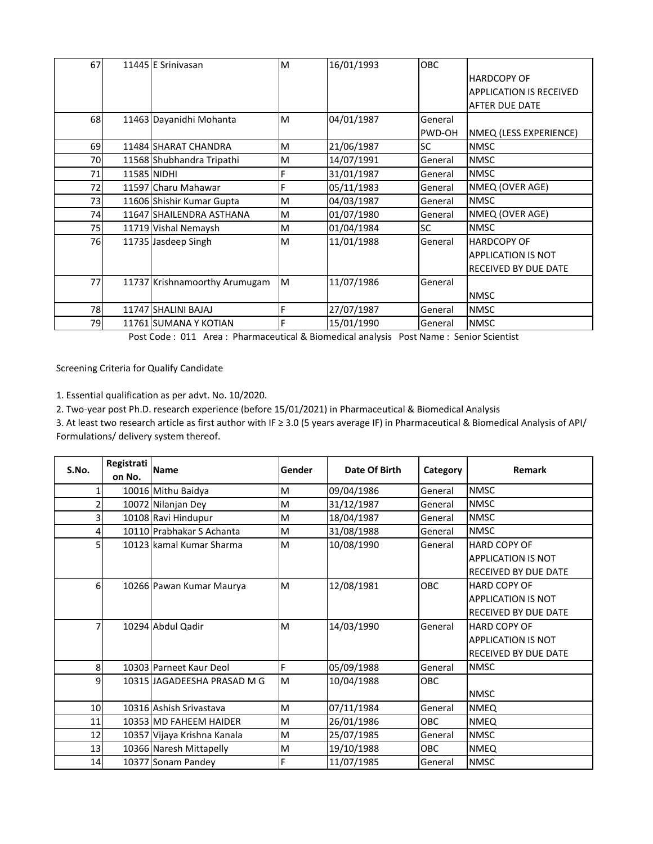| 67 | 11445 E Srinivasan            | M | 16/01/1993 | <b>OBC</b>    |                                |
|----|-------------------------------|---|------------|---------------|--------------------------------|
|    |                               |   |            |               | <b>HARDCOPY OF</b>             |
|    |                               |   |            |               | <b>APPLICATION IS RECEIVED</b> |
|    |                               |   |            |               | <b>AFTER DUE DATE</b>          |
| 68 | 11463 Dayanidhi Mohanta       | M | 04/01/1987 | General       |                                |
|    |                               |   |            | <b>PWD-OH</b> | NMEQ (LESS EXPERIENCE)         |
| 69 | 11484 SHARAT CHANDRA          | м | 21/06/1987 | <b>SC</b>     | <b>NMSC</b>                    |
| 70 | 11568 Shubhandra Tripathi     | M | 14/07/1991 | General       | <b>NMSC</b>                    |
| 71 | 11585 NIDHI                   | F | 31/01/1987 | General       | <b>NMSC</b>                    |
| 72 | 11597 Charu Mahawar           | Ė | 05/11/1983 | General       | NMEQ (OVER AGE)                |
| 73 | 11606 Shishir Kumar Gupta     | M | 04/03/1987 | General       | <b>NMSC</b>                    |
| 74 | 11647 SHAILENDRA ASTHANA      | M | 01/07/1980 | General       | NMEQ (OVER AGE)                |
| 75 | 11719 Vishal Nemaysh          | M | 01/04/1984 | <b>SC</b>     | <b>NMSC</b>                    |
| 76 | 11735 Jasdeep Singh           | M | 11/01/1988 | General       | <b>HARDCOPY OF</b>             |
|    |                               |   |            |               | <b>APPLICATION IS NOT</b>      |
|    |                               |   |            |               | <b>IRECEIVED BY DUE DATE</b>   |
| 77 | 11737 Krishnamoorthy Arumugam | M | 11/07/1986 | General       |                                |
|    |                               |   |            |               | <b>NMSC</b>                    |
| 78 | 11747 SHALINI BAJAJ           | F | 27/07/1987 | General       | <b>NMSC</b>                    |
| 79 | 11761 SUMANA Y KOTIAN         | Ė | 15/01/1990 | General       | <b>NMSC</b>                    |

Post Code : 011 Area : Pharmaceutical & Biomedical analysis Post Name : Senior Scientist

Screening Criteria for Qualify Candidate

1. Essential qualification as per advt. No. 10/2020.

2. Two-year post Ph.D. research experience (before 15/01/2021) in Pharmaceutical & Biomedical Analysis

3. At least two research article as first author with IF ≥ 3.0 (5 years average IF) in Pharmaceutical & Biomedical Analysis of API/ Formulations/ delivery system thereof.

| S.No.          | Registrati | <b>Name</b>                 | Gender | Date Of Birth |            | Remark                      |
|----------------|------------|-----------------------------|--------|---------------|------------|-----------------------------|
|                | on No.     |                             |        |               | Category   |                             |
|                |            | 10016 Mithu Baidya          | М      | 09/04/1986    | General    | <b>NMSC</b>                 |
|                |            | 10072 Nilanjan Dey          | M      | 31/12/1987    | General    | <b>NMSC</b>                 |
| 3              |            | 10108 Ravi Hindupur         | M      | 18/04/1987    | General    | <b>NMSC</b>                 |
|                |            | 10110 Prabhakar S Achanta   | M      | 31/08/1988    | General    | <b>NMSC</b>                 |
|                |            | 10123 kamal Kumar Sharma    | M      | 10/08/1990    | General    | <b>HARD COPY OF</b>         |
|                |            |                             |        |               |            | <b>APPLICATION IS NOT</b>   |
|                |            |                             |        |               |            | <b>RECEIVED BY DUE DATE</b> |
| 6              |            | 10266 Pawan Kumar Maurya    | M      | 12/08/1981    | OBC        | <b>HARD COPY OF</b>         |
|                |            |                             |        |               |            | <b>APPLICATION IS NOT</b>   |
|                |            |                             |        |               |            | <b>RECEIVED BY DUE DATE</b> |
| 7              |            | 10294 Abdul Qadir           | M      | 14/03/1990    | General    | <b>HARD COPY OF</b>         |
|                |            |                             |        |               |            | <b>APPLICATION IS NOT</b>   |
|                |            |                             |        |               |            | <b>RECEIVED BY DUE DATE</b> |
| 8 <sup>l</sup> |            | 10303 Parneet Kaur Deol     | F      | 05/09/1988    | General    | <b>NMSC</b>                 |
| 9              |            | 10315 JAGADEESHA PRASAD M G | M      | 10/04/1988    | <b>OBC</b> |                             |
|                |            |                             |        |               |            | <b>NMSC</b>                 |
| 10             |            | 10316 Ashish Srivastava     | M      | 07/11/1984    | General    | <b>NMEQ</b>                 |
| 11             |            | 10353 MD FAHEEM HAIDER      | M      | 26/01/1986    | OBC.       | <b>NMEQ</b>                 |
| 12             |            | 10357 Vijaya Krishna Kanala | M      | 25/07/1985    | General    | <b>NMSC</b>                 |
| 13             |            | 10366 Naresh Mittapelly     | M      | 19/10/1988    | <b>OBC</b> | <b>NMEQ</b>                 |
| 14             |            | 10377 Sonam Pandey          | F      | 11/07/1985    | General    | <b>NMSC</b>                 |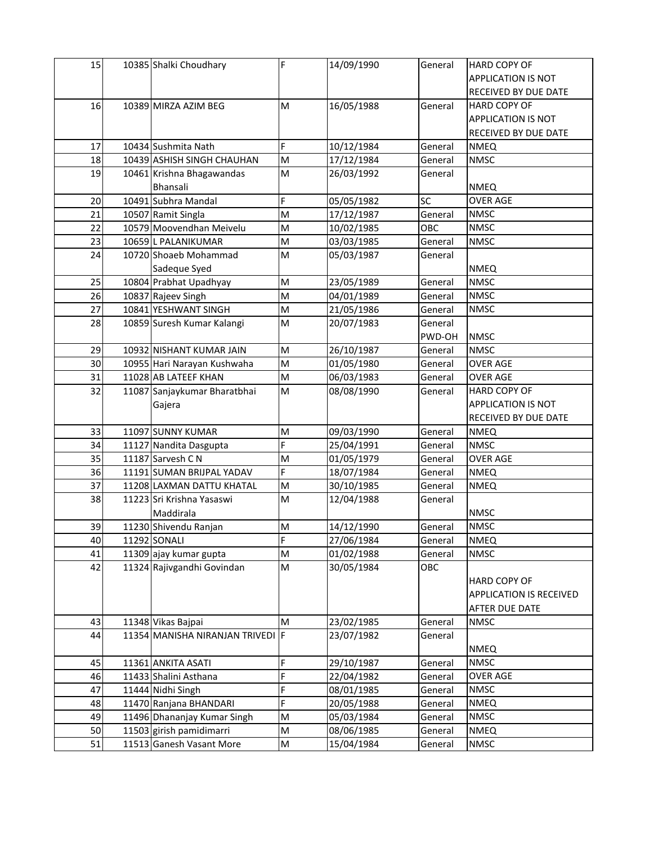| 15 | 10385 Shalki Choudhary           | F  | 14/09/1990 | General | <b>HARD COPY OF</b>       |
|----|----------------------------------|----|------------|---------|---------------------------|
|    |                                  |    |            |         | <b>APPLICATION IS NOT</b> |
|    |                                  |    |            |         | RECEIVED BY DUE DATE      |
| 16 | 10389 MIRZA AZIM BEG             | M  | 16/05/1988 | General | <b>HARD COPY OF</b>       |
|    |                                  |    |            |         | <b>APPLICATION IS NOT</b> |
|    |                                  |    |            |         | RECEIVED BY DUE DATE      |
| 17 | 10434 Sushmita Nath              | F. | 10/12/1984 | General | <b>NMEQ</b>               |
| 18 | 10439 ASHISH SINGH CHAUHAN       | M  | 17/12/1984 | General | <b>NMSC</b>               |
| 19 | 10461 Krishna Bhagawandas        | M  | 26/03/1992 | General |                           |
|    | Bhansali                         |    |            |         | <b>NMEQ</b>               |
| 20 | 10491 Subhra Mandal              | F  | 05/05/1982 | SC      | <b>OVER AGE</b>           |
| 21 | 10507 Ramit Singla               | M  | 17/12/1987 | General | <b>NMSC</b>               |
| 22 | 10579 Moovendhan Meivelu         | M  | 10/02/1985 | OBC     | <b>NMSC</b>               |
| 23 | 10659 L PALANIKUMAR              | M  | 03/03/1985 | General | <b>NMSC</b>               |
| 24 | 10720 Shoaeb Mohammad            | M  | 05/03/1987 | General |                           |
|    | Sadeque Syed                     |    |            |         | <b>NMEQ</b>               |
| 25 | 10804 Prabhat Upadhyay           | M  | 23/05/1989 | General | <b>NMSC</b>               |
| 26 | 10837 Rajeev Singh               | M  | 04/01/1989 | General | <b>NMSC</b>               |
| 27 | 10841 YESHWANT SINGH             | M  | 21/05/1986 | General | <b>NMSC</b>               |
| 28 | 10859 Suresh Kumar Kalangi       | M  | 20/07/1983 | General |                           |
|    |                                  |    |            | PWD-OH  | <b>NMSC</b>               |
| 29 | 10932 NISHANT KUMAR JAIN         | M  | 26/10/1987 | General | <b>NMSC</b>               |
| 30 | 10955 Hari Narayan Kushwaha      | M  | 01/05/1980 | General | <b>OVER AGE</b>           |
| 31 | 11028 AB LATEEF KHAN             | M  | 06/03/1983 | General | <b>OVER AGE</b>           |
| 32 | 11087 Sanjaykumar Bharatbhai     | M  | 08/08/1990 | General | HARD COPY OF              |
|    | Gajera                           |    |            |         | <b>APPLICATION IS NOT</b> |
|    |                                  |    |            |         | RECEIVED BY DUE DATE      |
| 33 | 11097 SUNNY KUMAR                | M  | 09/03/1990 | General | <b>NMEQ</b>               |
| 34 | 11127 Nandita Dasgupta           | F  | 25/04/1991 | General | <b>NMSC</b>               |
| 35 | 11187 Sarvesh C N                | M  | 01/05/1979 | General | <b>OVER AGE</b>           |
| 36 | 11191 SUMAN BRIJPAL YADAV        | F. | 18/07/1984 | General | <b>NMEQ</b>               |
| 37 | 11208 LAXMAN DATTU KHATAL        | M  | 30/10/1985 | General | <b>NMEQ</b>               |
| 38 | 11223 Sri Krishna Yasaswi        | M  | 12/04/1988 | General |                           |
|    | Maddirala                        |    |            |         | <b>NMSC</b>               |
| 39 | 11230 Shivendu Ranjan            | M  | 14/12/1990 | General | <b>NMSC</b>               |
| 40 | 11292 SONALI                     | F  | 27/06/1984 | General | <b>NMEQ</b>               |
| 41 | 11309 ajay kumar gupta           | M  | 01/02/1988 | General | <b>NMSC</b>               |
| 42 | 11324 Rajivgandhi Govindan       | M  | 30/05/1984 | OBC     |                           |
|    |                                  |    |            |         | <b>HARD COPY OF</b>       |
|    |                                  |    |            |         | APPLICATION IS RECEIVED   |
|    |                                  |    |            |         | AFTER DUE DATE            |
| 43 | 11348 Vikas Bajpai               | M  | 23/02/1985 | General | <b>NMSC</b>               |
| 44 | 11354 MANISHA NIRANJAN TRIVEDI F |    | 23/07/1982 | General |                           |
|    |                                  |    |            |         | <b>NMEQ</b>               |
| 45 | 11361 ANKITA ASATI               | F  | 29/10/1987 | General | <b>NMSC</b>               |
| 46 | 11433 Shalini Asthana            | F  | 22/04/1982 | General | <b>OVER AGE</b>           |
| 47 | 11444 Nidhi Singh                | F  | 08/01/1985 | General | <b>NMSC</b>               |
| 48 | 11470 Ranjana BHANDARI           | F  | 20/05/1988 | General | <b>NMEQ</b>               |
| 49 | 11496 Dhananjay Kumar Singh      | M  | 05/03/1984 | General | <b>NMSC</b>               |
| 50 | 11503 girish pamidimarri         | M  | 08/06/1985 | General | <b>NMEQ</b>               |
| 51 | 11513 Ganesh Vasant More         | M  | 15/04/1984 | General | <b>NMSC</b>               |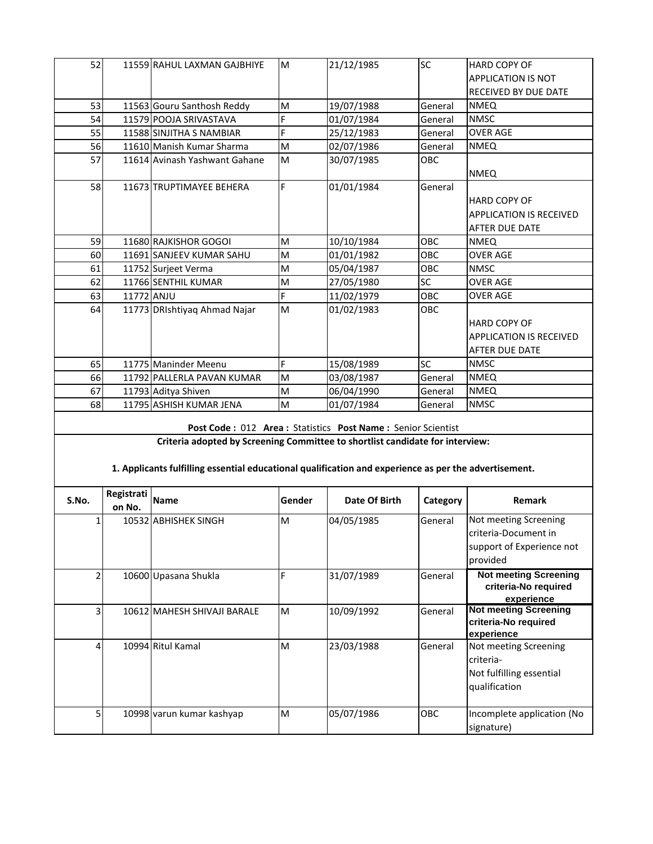| 52    |            | 11559 RAHUL LAXMAN GAJBHIYE                                                                           | M      | 21/12/1985                                                  | SC         | HARD COPY OF                   |  |  |  |
|-------|------------|-------------------------------------------------------------------------------------------------------|--------|-------------------------------------------------------------|------------|--------------------------------|--|--|--|
|       |            |                                                                                                       |        |                                                             |            | APPLICATION IS NOT             |  |  |  |
|       |            |                                                                                                       |        |                                                             |            | RECEIVED BY DUE DATE           |  |  |  |
| 53    |            | 11563 Gouru Santhosh Reddy                                                                            | M      | 19/07/1988                                                  | General    | <b>NMEQ</b>                    |  |  |  |
| 54    |            | 11579 POOJA SRIVASTAVA                                                                                | F      | 01/07/1984                                                  | General    | <b>NMSC</b>                    |  |  |  |
| 55    |            | 11588 SINJITHA S NAMBIAR                                                                              | F.     | 25/12/1983                                                  | General    | <b>OVER AGE</b>                |  |  |  |
| 56    |            | 11610 Manish Kumar Sharma                                                                             | M      | 02/07/1986                                                  | General    | <b>NMEQ</b>                    |  |  |  |
| 57    |            | 11614 Avinash Yashwant Gahane                                                                         | M      | 30/07/1985                                                  | OBC        |                                |  |  |  |
|       |            |                                                                                                       |        |                                                             |            | <b>NMEQ</b>                    |  |  |  |
| 58    |            | 11673 TRUPTIMAYEE BEHERA                                                                              | F      | 01/01/1984                                                  | General    |                                |  |  |  |
|       |            |                                                                                                       |        |                                                             |            | HARD COPY OF                   |  |  |  |
|       |            |                                                                                                       |        |                                                             |            | <b>APPLICATION IS RECEIVED</b> |  |  |  |
|       |            |                                                                                                       |        |                                                             |            | AFTER DUE DATE                 |  |  |  |
| 59    |            | 11680 RAJKISHOR GOGOI                                                                                 | M      | 10/10/1984                                                  | OBC        | <b>NMEQ</b>                    |  |  |  |
| 60    |            | 11691 SANJEEV KUMAR SAHU                                                                              | M      | 01/01/1982                                                  | OBC        | <b>OVER AGE</b>                |  |  |  |
| 61    |            | 11752 Surjeet Verma                                                                                   | M      | 05/04/1987                                                  | OBC        | <b>NMSC</b>                    |  |  |  |
| 62    |            | 11766 SENTHIL KUMAR                                                                                   | M      | 27/05/1980                                                  | SC         | <b>OVER AGE</b>                |  |  |  |
| 63    | 11772 ANJU |                                                                                                       | F      | 11/02/1979                                                  | OBC        | <b>OVER AGE</b>                |  |  |  |
| 64    |            | 11773 DRIshtiyaq Ahmad Najar                                                                          | M      | 01/02/1983                                                  | <b>OBC</b> |                                |  |  |  |
|       |            |                                                                                                       |        |                                                             |            | <b>HARD COPY OF</b>            |  |  |  |
|       |            |                                                                                                       |        |                                                             |            | <b>APPLICATION IS RECEIVED</b> |  |  |  |
|       |            |                                                                                                       |        |                                                             |            | <b>AFTER DUE DATE</b>          |  |  |  |
| 65    |            | 11775 Maninder Meenu                                                                                  | F      | 15/08/1989                                                  | <b>SC</b>  | <b>NMSC</b>                    |  |  |  |
| 66    |            | 11792 PALLERLA PAVAN KUMAR                                                                            | M      | 03/08/1987                                                  | General    | <b>NMEQ</b>                    |  |  |  |
| 67    |            | 11793 Aditya Shiven                                                                                   | M      | 06/04/1990                                                  | General    | <b>NMEQ</b>                    |  |  |  |
| 68    |            | 11795 ASHISH KUMAR JENA                                                                               | M      | 01/07/1984                                                  | General    | <b>NMSC</b>                    |  |  |  |
|       |            |                                                                                                       |        |                                                             |            |                                |  |  |  |
|       |            |                                                                                                       |        | Post Code: 012 Area: Statistics Post Name: Senior Scientist |            |                                |  |  |  |
|       |            | Criteria adopted by Screening Committee to shortlist candidate for interview:                         |        |                                                             |            |                                |  |  |  |
|       |            |                                                                                                       |        |                                                             |            |                                |  |  |  |
|       |            | 1. Applicants fulfilling essential educational qualification and experience as per the advertisement. |        |                                                             |            |                                |  |  |  |
|       | Registrati |                                                                                                       |        |                                                             |            |                                |  |  |  |
| S.No. | on No.     | <b>Name</b>                                                                                           | Gender | Date Of Birth                                               | Category   | Remark                         |  |  |  |
| 1     |            | 10532 ABHISHEK SINGH                                                                                  | M      | 04/05/1985                                                  | General    | Not meeting Screening          |  |  |  |

| J.NO. | on No. | i Name                      | aenaer | Date Of Birth | category   | <b>Remark</b>                                                                          |
|-------|--------|-----------------------------|--------|---------------|------------|----------------------------------------------------------------------------------------|
|       |        | 10532 ABHISHEK SINGH        | M      | 04/05/1985    | General    | Not meeting Screening<br>criteria-Document in<br>support of Experience not<br>provided |
|       |        | 10600 Upasana Shukla        |        | 31/07/1989    | General    | <b>Not meeting Screening</b><br>criteria-No required<br>experience                     |
|       |        | 10612 MAHESH SHIVAJI BARALE | M      | 10/09/1992    | General    | <b>Not meeting Screening</b><br>criteria-No required<br>experience                     |
|       |        | 10994 Ritul Kamal           | м      | 23/03/1988    | General    | Not meeting Screening<br>criteria-<br>Not fulfilling essential<br>qualification        |
| 5     |        | 10998 varun kumar kashyap   | M      | 05/07/1986    | <b>OBC</b> | Incomplete application (No<br>signature)                                               |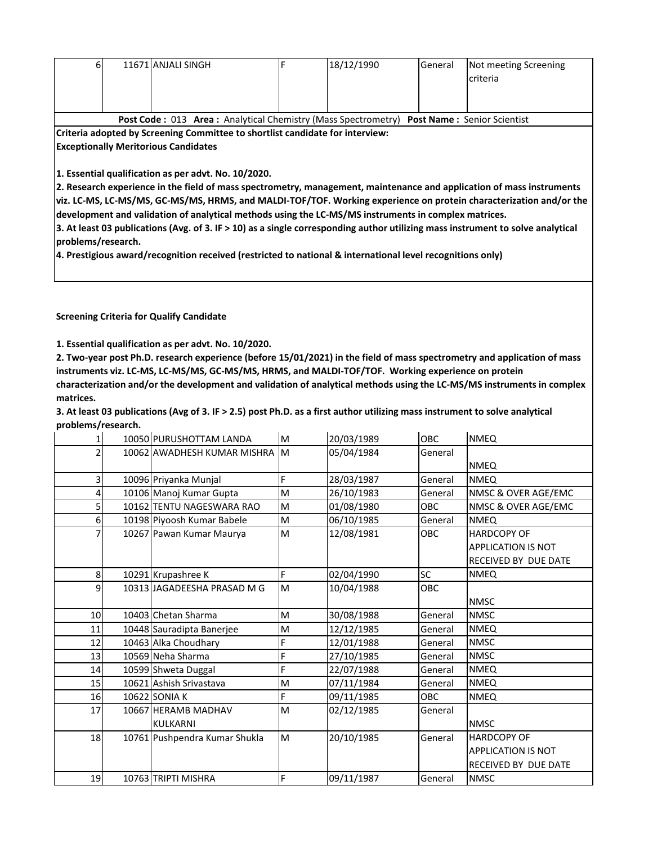| 61                 | 11671 ANJALI SINGH                                                                                                                                                                                                                                                                                                                                                                                                                                                                                                                                                                                                                                           | F | 18/12/1990 | General | Not meeting Screening<br>criteria |
|--------------------|--------------------------------------------------------------------------------------------------------------------------------------------------------------------------------------------------------------------------------------------------------------------------------------------------------------------------------------------------------------------------------------------------------------------------------------------------------------------------------------------------------------------------------------------------------------------------------------------------------------------------------------------------------------|---|------------|---------|-----------------------------------|
|                    | Post Code: 013 Area: Analytical Chemistry (Mass Spectrometry) Post Name: Senior Scientist                                                                                                                                                                                                                                                                                                                                                                                                                                                                                                                                                                    |   |            |         |                                   |
|                    | Criteria adopted by Screening Committee to shortlist candidate for interview:                                                                                                                                                                                                                                                                                                                                                                                                                                                                                                                                                                                |   |            |         |                                   |
|                    | <b>Exceptionally Meritorious Candidates</b>                                                                                                                                                                                                                                                                                                                                                                                                                                                                                                                                                                                                                  |   |            |         |                                   |
| problems/research. | 1. Essential qualification as per advt. No. 10/2020.<br>2. Research experience in the field of mass spectrometry, management, maintenance and application of mass instruments<br>viz. LC-MS, LC-MS/MS, GC-MS/MS, HRMS, and MALDI-TOF/TOF. Working experience on protein characterization and/or the<br>development and validation of analytical methods using the LC-MS/MS instruments in complex matrices.<br>3. At least 03 publications (Avg. of 3. IF > 10) as a single corresponding author utilizing mass instrument to solve analytical<br>4. Prestigious award/recognition received (restricted to national & international level recognitions only) |   |            |         |                                   |

**Screening Criteria for Qualify Candidate**

**1. Essential qualification as per advt. No. 10/2020.**

**2. Two-year post Ph.D. research experience (before 15/01/2021) in the field of mass spectrometry and application of mass instruments viz. LC-MS, LC-MS/MS, GC-MS/MS, HRMS, and MALDI-TOF/TOF. Working experience on protein characterization and/or the development and validation of analytical methods using the LC-MS/MS instruments in complex matrices.**

**3. At least 03 publications (Avg of 3. IF > 2.5) post Ph.D. as a first author utilizing mass instrument to solve analytical problems/research.**

| 1  | 10050 PURUSHOTTAM LANDA       | $\mathsf{M}% _{T}=\mathsf{M}_{T}\!\left( a,b\right) ,\ \mathsf{M}_{T}=\mathsf{M}_{T}$ | 20/03/1989 | <b>OBC</b> | <b>NMEQ</b>                 |
|----|-------------------------------|---------------------------------------------------------------------------------------|------------|------------|-----------------------------|
|    | 10062 AWADHESH KUMAR MISHRA   | M                                                                                     | 05/04/1984 | General    |                             |
|    |                               |                                                                                       |            |            | <b>NMEQ</b>                 |
| 31 | 10096 Priyanka Munjal         | F                                                                                     | 28/03/1987 | General    | <b>NMEQ</b>                 |
| 4  | 10106 Manoj Kumar Gupta       | M                                                                                     | 26/10/1983 | General    | NMSC & OVER AGE/EMC         |
| 5  | 10162 TENTU NAGESWARA RAO     | M                                                                                     | 01/08/1980 | <b>OBC</b> | NMSC & OVER AGE/EMC         |
| 6  | 10198 Piyoosh Kumar Babele    | M                                                                                     | 06/10/1985 | General    | <b>NMEQ</b>                 |
|    | 10267 Pawan Kumar Maurya      | M                                                                                     | 12/08/1981 | OBC        | <b>HARDCOPY OF</b>          |
|    |                               |                                                                                       |            |            | <b>APPLICATION IS NOT</b>   |
|    |                               |                                                                                       |            |            | RECEIVED BY DUE DATE        |
| 8  | 10291 Krupashree K            | F                                                                                     | 02/04/1990 | SC         | <b>NMEQ</b>                 |
| 9  | 10313 JAGADEESHA PRASAD M G   | M                                                                                     | 10/04/1988 | OBC        |                             |
|    |                               |                                                                                       |            |            | <b>NMSC</b>                 |
| 10 | 10403 Chetan Sharma           | M                                                                                     | 30/08/1988 | General    | <b>NMSC</b>                 |
| 11 | 10448 Sauradipta Banerjee     | M                                                                                     | 12/12/1985 | General    | <b>NMEQ</b>                 |
| 12 | 10463 Alka Choudhary          | F                                                                                     | 12/01/1988 | General    | <b>NMSC</b>                 |
| 13 | 10569 Neha Sharma             | F                                                                                     | 27/10/1985 | General    | <b>NMSC</b>                 |
| 14 | 10599 Shweta Duggal           | F                                                                                     | 22/07/1988 | General    | <b>NMEQ</b>                 |
| 15 | 10621 Ashish Srivastava       | M                                                                                     | 07/11/1984 | General    | <b>NMEQ</b>                 |
| 16 | <b>10622 SONIA K</b>          | F                                                                                     | 09/11/1985 | <b>OBC</b> | <b>NMEQ</b>                 |
| 17 | 10667 HERAMB MADHAV           | M                                                                                     | 02/12/1985 | General    |                             |
|    | <b>KULKARNI</b>               |                                                                                       |            |            | <b>NMSC</b>                 |
| 18 | 10761 Pushpendra Kumar Shukla | M                                                                                     | 20/10/1985 | General    | <b>HARDCOPY OF</b>          |
|    |                               |                                                                                       |            |            | <b>APPLICATION IS NOT</b>   |
|    |                               |                                                                                       |            |            | <b>RECEIVED BY DUE DATE</b> |
| 19 | 10763 TRIPTI MISHRA           | F                                                                                     | 09/11/1987 | General    | <b>NMSC</b>                 |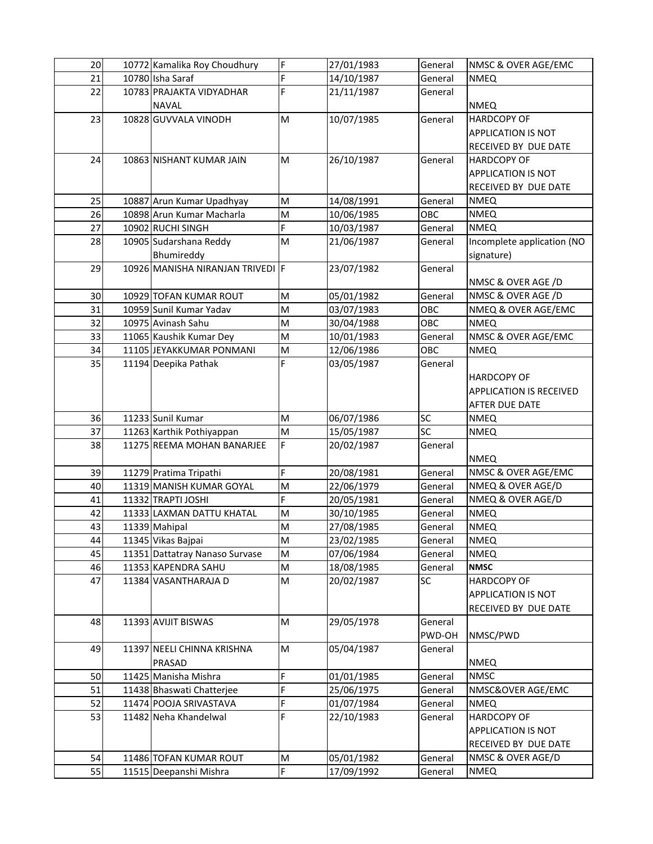| 20 | 10772 Kamalika Roy Choudhury     | F | 27/01/1983 | General            | NMSC & OVER AGE/EMC            |
|----|----------------------------------|---|------------|--------------------|--------------------------------|
| 21 | 10780 Isha Saraf                 | F | 14/10/1987 | General            | <b>NMEQ</b>                    |
| 22 | 10783 PRAJAKTA VIDYADHAR         | F | 21/11/1987 | General            |                                |
|    | <b>NAVAL</b>                     |   |            |                    | <b>NMEQ</b>                    |
| 23 | 10828 GUVVALA VINODH             | M | 10/07/1985 | General            | <b>HARDCOPY OF</b>             |
|    |                                  |   |            |                    | <b>APPLICATION IS NOT</b>      |
|    |                                  |   |            |                    | RECEIVED BY DUE DATE           |
| 24 | 10863 NISHANT KUMAR JAIN         | M | 26/10/1987 | General            | <b>HARDCOPY OF</b>             |
|    |                                  |   |            |                    | APPLICATION IS NOT             |
|    |                                  |   |            |                    | RECEIVED BY DUE DATE           |
| 25 | 10887 Arun Kumar Upadhyay        | M | 14/08/1991 | General            | <b>NMEQ</b>                    |
| 26 | 10898 Arun Kumar Macharla        | M | 10/06/1985 | OBC                | <b>NMEQ</b>                    |
| 27 | 10902 RUCHI SINGH                | F | 10/03/1987 | General            | <b>NMEQ</b>                    |
| 28 | 10905 Sudarshana Reddy           | M | 21/06/1987 | General            | Incomplete application (NO     |
|    | Bhumireddy                       |   |            |                    | signature)                     |
| 29 | 10926 MANISHA NIRANJAN TRIVEDI F |   | 23/07/1982 | General            |                                |
|    |                                  |   |            |                    | NMSC & OVER AGE /D             |
| 30 | 10929 TOFAN KUMAR ROUT           | M | 05/01/1982 | General            | NMSC & OVER AGE /D             |
| 31 | 10959 Sunil Kumar Yadav          | M | 03/07/1983 | OBC                | NMEQ & OVER AGE/EMC            |
| 32 | 10975 Avinash Sahu               | M | 30/04/1988 | <b>OBC</b>         | <b>NMEQ</b>                    |
| 33 | 11065 Kaushik Kumar Dey          | M | 10/01/1983 | General            | NMSC & OVER AGE/EMC            |
| 34 | 11105 JEYAKKUMAR PONMANI         | M | 12/06/1986 | OBC                | <b>NMEQ</b>                    |
| 35 | 11194 Deepika Pathak             | F | 03/05/1987 | General            |                                |
|    |                                  |   |            |                    | <b>HARDCOPY OF</b>             |
|    |                                  |   |            |                    | <b>APPLICATION IS RECEIVED</b> |
|    |                                  |   |            |                    | <b>AFTER DUE DATE</b>          |
| 36 | 11233 Sunil Kumar                | M | 06/07/1986 | SC                 | <b>NMEQ</b>                    |
| 37 | 11263 Karthik Pothiyappan        | M | 15/05/1987 | $\overline{SC}$    | <b>NMEQ</b>                    |
| 38 | 11275 REEMA MOHAN BANARJEE       | F | 20/02/1987 |                    |                                |
|    |                                  |   |            | General            | <b>NMEQ</b>                    |
| 39 | 11279 Pratima Tripathi           | F | 20/08/1981 | General            | NMSC & OVER AGE/EMC            |
| 40 | 11319 MANISH KUMAR GOYAL         | M | 22/06/1979 | General            | NMEQ & OVER AGE/D              |
| 41 | 11332 TRAPTI JOSHI               | F | 20/05/1981 |                    | NMEQ & OVER AGE/D              |
|    |                                  |   |            | General<br>General |                                |
| 42 | 11333 LAXMAN DATTU KHATAL        | M | 30/10/1985 |                    | <b>NMEQ</b>                    |
| 43 | 11339 Mahipal                    | M | 27/08/1985 | General            | <b>NMEQ</b>                    |
| 44 | 11345 Vikas Bajpai               | M | 23/02/1985 | General            | <b>NMEQ</b>                    |
| 45 | 11351 Dattatray Nanaso Survase   | M | 07/06/1984 | General            | <b>NMEQ</b>                    |
| 46 | 11353 KAPENDRA SAHU              | M | 18/08/1985 | General            | <b>NMSC</b>                    |
| 47 | 11384 VASANTHARAJA D             | M | 20/02/1987 | SC                 | <b>HARDCOPY OF</b>             |
|    |                                  |   |            |                    | <b>APPLICATION IS NOT</b>      |
|    |                                  |   |            |                    | RECEIVED BY DUE DATE           |
| 48 | 11393 AVIJIT BISWAS              | M | 29/05/1978 | General            |                                |
|    |                                  |   |            | PWD-OH             | NMSC/PWD                       |
| 49 | 11397 NEELI CHINNA KRISHNA       | M | 05/04/1987 | General            |                                |
|    | PRASAD                           |   |            |                    | <b>NMEQ</b>                    |
| 50 | 11425 Manisha Mishra             | F | 01/01/1985 | General            | <b>NMSC</b>                    |
| 51 | 11438 Bhaswati Chatterjee        | F | 25/06/1975 | General            | NMSC&OVER AGE/EMC              |
| 52 | 11474 POOJA SRIVASTAVA           | F | 01/07/1984 | General            | <b>NMEQ</b>                    |
| 53 | 11482 Neha Khandelwal            | F | 22/10/1983 | General            | <b>HARDCOPY OF</b>             |
|    |                                  |   |            |                    | APPLICATION IS NOT             |
|    |                                  |   |            |                    | RECEIVED BY DUE DATE           |
| 54 | 11486 TOFAN KUMAR ROUT           | M | 05/01/1982 | General            | NMSC & OVER AGE/D              |
| 55 | 11515 Deepanshi Mishra           | F | 17/09/1992 | General            | <b>NMEQ</b>                    |